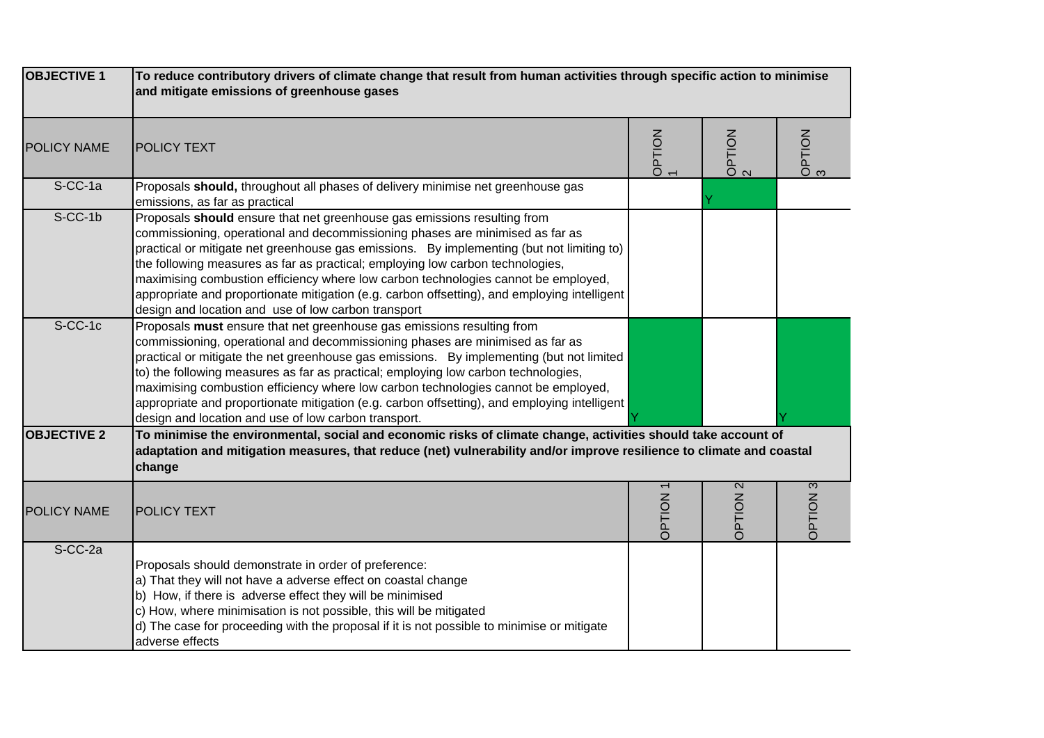| <b>OBJECTIVE 1</b> | To reduce contributory drivers of climate change that result from human activities through specific action to minimise<br>and mitigate emissions of greenhouse gases                                                                                                                                                                                                                                                                                                                                                                                                                    |               |                 |                                |
|--------------------|-----------------------------------------------------------------------------------------------------------------------------------------------------------------------------------------------------------------------------------------------------------------------------------------------------------------------------------------------------------------------------------------------------------------------------------------------------------------------------------------------------------------------------------------------------------------------------------------|---------------|-----------------|--------------------------------|
| <b>POLICY NAME</b> | <b>POLICY TEXT</b>                                                                                                                                                                                                                                                                                                                                                                                                                                                                                                                                                                      | OPTION        | OPTION          | OPTION                         |
| S-CC-1a            | Proposals should, throughout all phases of delivery minimise net greenhouse gas<br>emissions, as far as practical                                                                                                                                                                                                                                                                                                                                                                                                                                                                       |               |                 |                                |
| $S-CC-1b$          | Proposals should ensure that net greenhouse gas emissions resulting from<br>commissioning, operational and decommissioning phases are minimised as far as<br>practical or mitigate net greenhouse gas emissions. By implementing (but not limiting to)<br>the following measures as far as practical; employing low carbon technologies,<br>maximising combustion efficiency where low carbon technologies cannot be employed,<br>appropriate and proportionate mitigation (e.g. carbon offsetting), and employing intelligent<br>design and location and use of low carbon transport   |               |                 |                                |
| $S-CC-1c$          | Proposals must ensure that net greenhouse gas emissions resulting from<br>commissioning, operational and decommissioning phases are minimised as far as<br>practical or mitigate the net greenhouse gas emissions. By implementing (but not limited<br>to) the following measures as far as practical; employing low carbon technologies,<br>maximising combustion efficiency where low carbon technologies cannot be employed,<br>appropriate and proportionate mitigation (e.g. carbon offsetting), and employing intelligent<br>design and location and use of low carbon transport. |               |                 |                                |
| <b>OBJECTIVE 2</b> | To minimise the environmental, social and economic risks of climate change, activities should take account of<br>adaptation and mitigation measures, that reduce (net) vulnerability and/or improve resilience to climate and coastal<br>change                                                                                                                                                                                                                                                                                                                                         |               |                 |                                |
| <b>POLICY NAME</b> | <b>POLICY TEXT</b>                                                                                                                                                                                                                                                                                                                                                                                                                                                                                                                                                                      | <b>OPTION</b> | <b>OPTION 2</b> | $\overline{\omega}$<br>NOILECC |
| S-CC-2a            | Proposals should demonstrate in order of preference:<br>a) That they will not have a adverse effect on coastal change<br>b) How, if there is adverse effect they will be minimised<br>c) How, where minimisation is not possible, this will be mitigated<br>d) The case for proceeding with the proposal if it is not possible to minimise or mitigate<br>adverse effects                                                                                                                                                                                                               |               |                 |                                |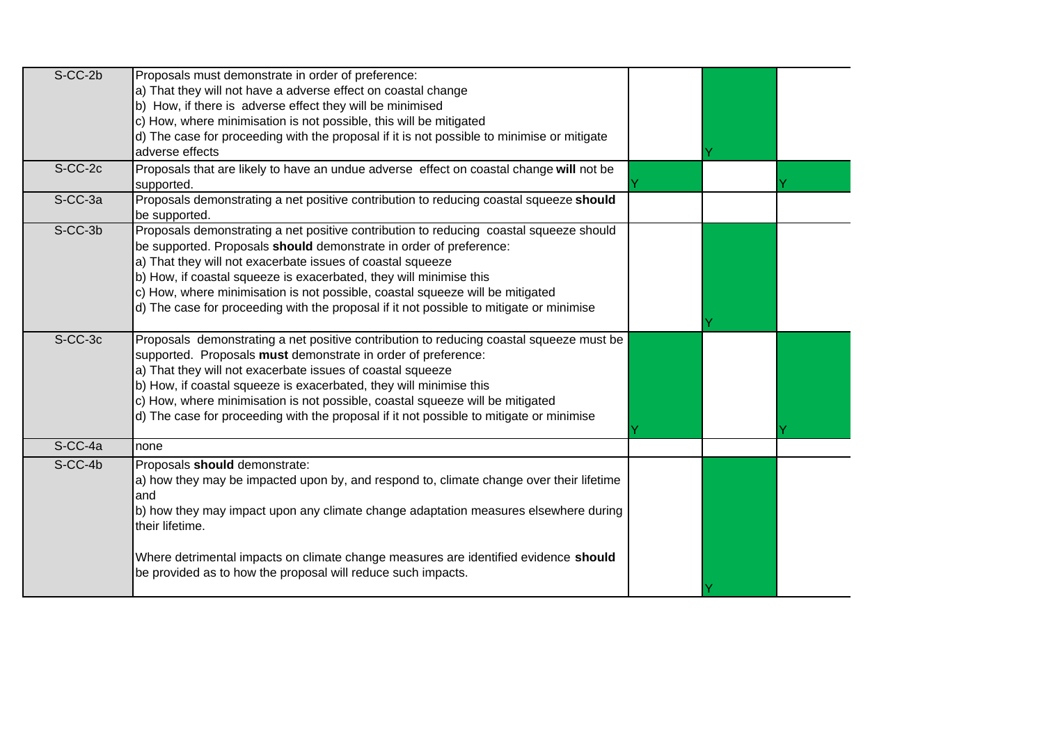| $S-CC-2b$ | Proposals must demonstrate in order of preference:<br>a) That they will not have a adverse effect on coastal change<br>b) How, if there is adverse effect they will be minimised<br>c) How, where minimisation is not possible, this will be mitigated<br>d) The case for proceeding with the proposal if it is not possible to minimise or mitigate                                                                                                                         |  |  |
|-----------|------------------------------------------------------------------------------------------------------------------------------------------------------------------------------------------------------------------------------------------------------------------------------------------------------------------------------------------------------------------------------------------------------------------------------------------------------------------------------|--|--|
|           | adverse effects                                                                                                                                                                                                                                                                                                                                                                                                                                                              |  |  |
| S-CC-2c   | Proposals that are likely to have an undue adverse effect on coastal change will not be<br>supported.                                                                                                                                                                                                                                                                                                                                                                        |  |  |
| S-CC-3a   | Proposals demonstrating a net positive contribution to reducing coastal squeeze should<br>be supported.                                                                                                                                                                                                                                                                                                                                                                      |  |  |
| S-CC-3b   | Proposals demonstrating a net positive contribution to reducing coastal squeeze should<br>be supported. Proposals should demonstrate in order of preference:<br>a) That they will not exacerbate issues of coastal squeeze<br>b) How, if coastal squeeze is exacerbated, they will minimise this<br>c) How, where minimisation is not possible, coastal squeeze will be mitigated<br>d) The case for proceeding with the proposal if it not possible to mitigate or minimise |  |  |
| S-CC-3c   | Proposals demonstrating a net positive contribution to reducing coastal squeeze must be<br>supported. Proposals must demonstrate in order of preference:<br>a) That they will not exacerbate issues of coastal squeeze<br>b) How, if coastal squeeze is exacerbated, they will minimise this<br>c) How, where minimisation is not possible, coastal squeeze will be mitigated<br>d) The case for proceeding with the proposal if it not possible to mitigate or minimise     |  |  |
| S-CC-4a   | Inone                                                                                                                                                                                                                                                                                                                                                                                                                                                                        |  |  |
| S-CC-4b   | Proposals should demonstrate:<br>a) how they may be impacted upon by, and respond to, climate change over their lifetime<br>land<br>b) how they may impact upon any climate change adaptation measures elsewhere during<br>their lifetime.<br>Where detrimental impacts on climate change measures are identified evidence should                                                                                                                                            |  |  |
|           | be provided as to how the proposal will reduce such impacts.                                                                                                                                                                                                                                                                                                                                                                                                                 |  |  |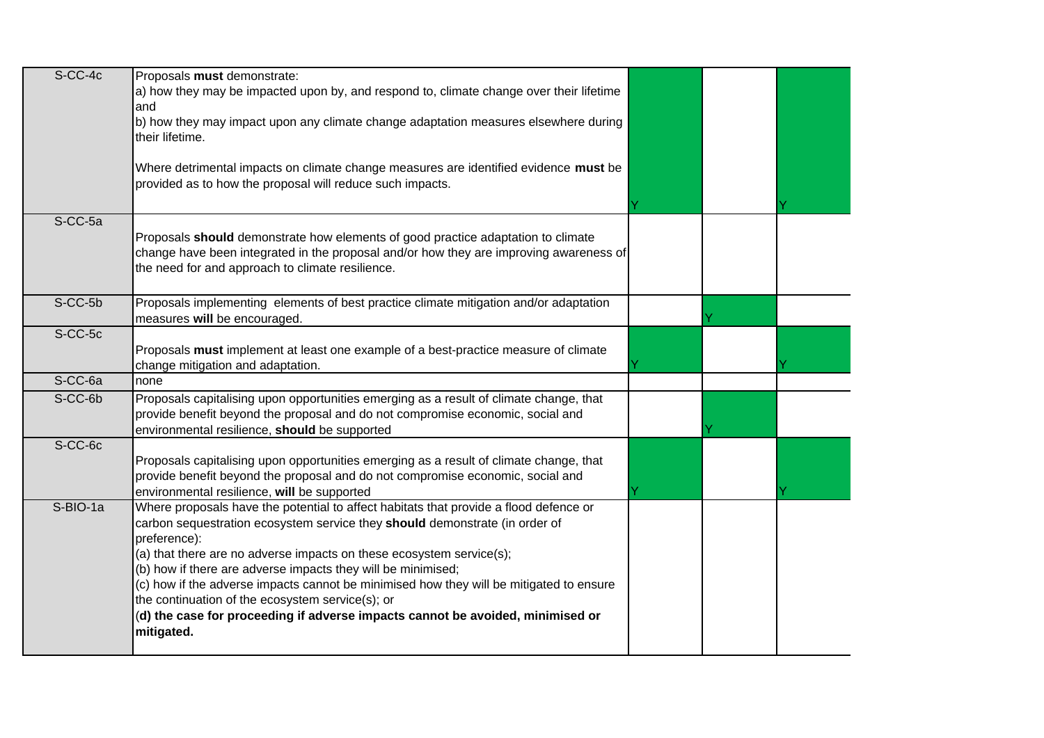| $S-CC-4c$ | Proposals must demonstrate:                                                                                                                                                                                                                                                                                                                                                                                                                                                                                                                                                 |  |  |
|-----------|-----------------------------------------------------------------------------------------------------------------------------------------------------------------------------------------------------------------------------------------------------------------------------------------------------------------------------------------------------------------------------------------------------------------------------------------------------------------------------------------------------------------------------------------------------------------------------|--|--|
|           | a) how they may be impacted upon by, and respond to, climate change over their lifetime<br>and                                                                                                                                                                                                                                                                                                                                                                                                                                                                              |  |  |
|           | b) how they may impact upon any climate change adaptation measures elsewhere during<br>their lifetime.                                                                                                                                                                                                                                                                                                                                                                                                                                                                      |  |  |
|           | Where detrimental impacts on climate change measures are identified evidence must be<br>provided as to how the proposal will reduce such impacts.                                                                                                                                                                                                                                                                                                                                                                                                                           |  |  |
| S-CC-5a   | Proposals should demonstrate how elements of good practice adaptation to climate<br>change have been integrated in the proposal and/or how they are improving awareness of<br>the need for and approach to climate resilience.                                                                                                                                                                                                                                                                                                                                              |  |  |
| S-CC-5b   | Proposals implementing elements of best practice climate mitigation and/or adaptation<br>measures will be encouraged.                                                                                                                                                                                                                                                                                                                                                                                                                                                       |  |  |
| S-CC-5c   | Proposals must implement at least one example of a best-practice measure of climate<br>change mitigation and adaptation.                                                                                                                                                                                                                                                                                                                                                                                                                                                    |  |  |
| S-CC-6a   | none                                                                                                                                                                                                                                                                                                                                                                                                                                                                                                                                                                        |  |  |
| S-CC-6b   | Proposals capitalising upon opportunities emerging as a result of climate change, that<br>provide benefit beyond the proposal and do not compromise economic, social and<br>environmental resilience, should be supported                                                                                                                                                                                                                                                                                                                                                   |  |  |
| S-CC-6c   | Proposals capitalising upon opportunities emerging as a result of climate change, that<br>provide benefit beyond the proposal and do not compromise economic, social and<br>environmental resilience, will be supported                                                                                                                                                                                                                                                                                                                                                     |  |  |
| S-BIO-1a  | Where proposals have the potential to affect habitats that provide a flood defence or<br>carbon sequestration ecosystem service they should demonstrate (in order of<br>preference):<br>(a) that there are no adverse impacts on these ecosystem service(s);<br>(b) how if there are adverse impacts they will be minimised;<br>(c) how if the adverse impacts cannot be minimised how they will be mitigated to ensure<br>the continuation of the ecosystem service(s); or<br>(d) the case for proceeding if adverse impacts cannot be avoided, minimised or<br>mitigated. |  |  |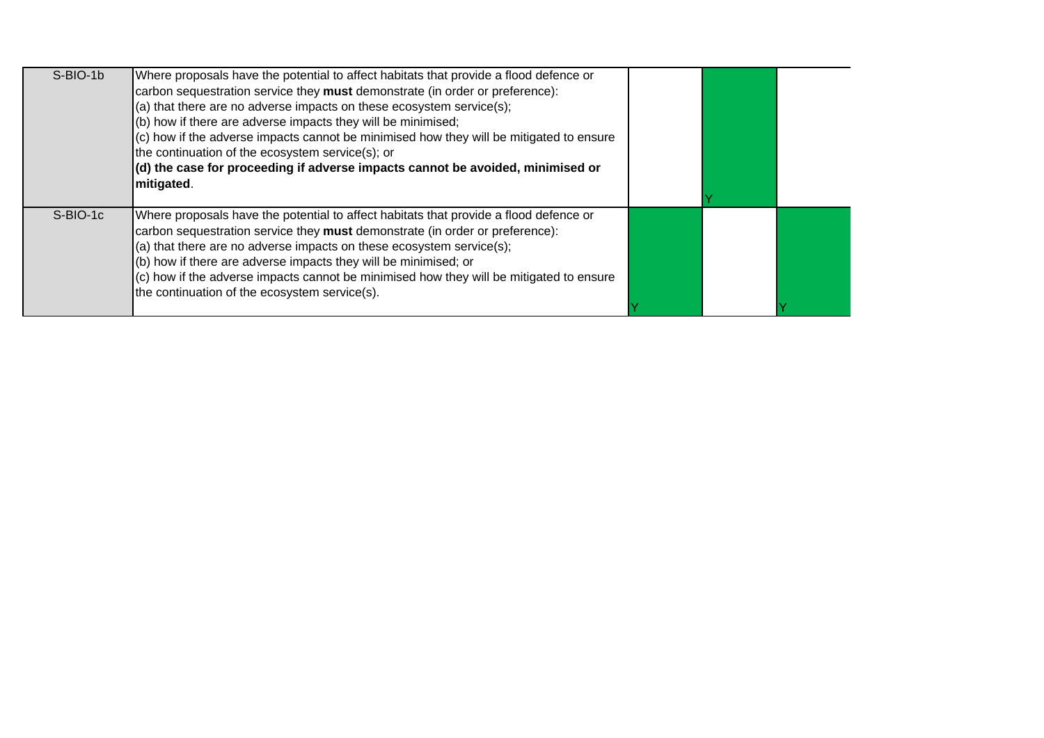| S-BIO-1b | Where proposals have the potential to affect habitats that provide a flood defence or<br>carbon sequestration service they must demonstrate (in order or preference):<br>(a) that there are no adverse impacts on these ecosystem service(s);<br>(b) how if there are adverse impacts they will be minimised;<br>(c) how if the adverse impacts cannot be minimised how they will be mitigated to ensure<br>the continuation of the ecosystem service(s); or<br>$(d)$ the case for proceeding if adverse impacts cannot be avoided, minimised or<br>mitigated. |  |  |
|----------|----------------------------------------------------------------------------------------------------------------------------------------------------------------------------------------------------------------------------------------------------------------------------------------------------------------------------------------------------------------------------------------------------------------------------------------------------------------------------------------------------------------------------------------------------------------|--|--|
| S-BIO-1c | Where proposals have the potential to affect habitats that provide a flood defence or<br>carbon sequestration service they must demonstrate (in order or preference):<br>(a) that there are no adverse impacts on these ecosystem service(s);<br>(b) how if there are adverse impacts they will be minimised; or<br>(c) how if the adverse impacts cannot be minimised how they will be mitigated to ensure<br>the continuation of the ecosystem service(s).                                                                                                   |  |  |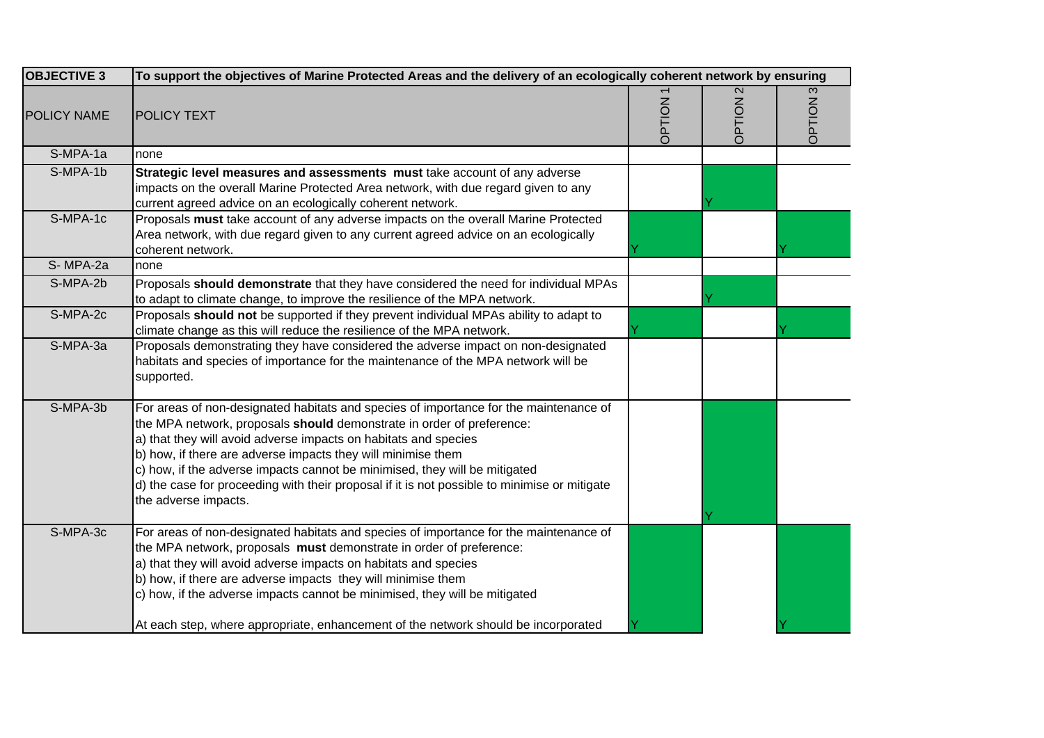| <b>OBJECTIVE 3</b> | To support the objectives of Marine Protected Areas and the delivery of an ecologically coherent network by ensuring                                                                                                                                                                                                                                                                                                                                                                                    |        |        |        |
|--------------------|---------------------------------------------------------------------------------------------------------------------------------------------------------------------------------------------------------------------------------------------------------------------------------------------------------------------------------------------------------------------------------------------------------------------------------------------------------------------------------------------------------|--------|--------|--------|
| <b>POLICY NAME</b> | <b>POLICY TEXT</b>                                                                                                                                                                                                                                                                                                                                                                                                                                                                                      | NOILdC | NOILdC | NOILdC |
| S-MPA-1a           | none                                                                                                                                                                                                                                                                                                                                                                                                                                                                                                    |        |        |        |
| S-MPA-1b           | Strategic level measures and assessments must take account of any adverse<br>impacts on the overall Marine Protected Area network, with due regard given to any<br>current agreed advice on an ecologically coherent network.                                                                                                                                                                                                                                                                           |        |        |        |
| S-MPA-1c           | Proposals must take account of any adverse impacts on the overall Marine Protected<br>Area network, with due regard given to any current agreed advice on an ecologically<br>coherent network.                                                                                                                                                                                                                                                                                                          |        |        |        |
| S-MPA-2a           | none                                                                                                                                                                                                                                                                                                                                                                                                                                                                                                    |        |        |        |
| S-MPA-2b           | Proposals should demonstrate that they have considered the need for individual MPAs<br>to adapt to climate change, to improve the resilience of the MPA network.                                                                                                                                                                                                                                                                                                                                        |        |        |        |
| S-MPA-2c           | Proposals should not be supported if they prevent individual MPAs ability to adapt to<br>climate change as this will reduce the resilience of the MPA network.                                                                                                                                                                                                                                                                                                                                          |        |        |        |
| S-MPA-3a           | Proposals demonstrating they have considered the adverse impact on non-designated<br>habitats and species of importance for the maintenance of the MPA network will be<br>supported.                                                                                                                                                                                                                                                                                                                    |        |        |        |
| $S-MPA-3b$         | For areas of non-designated habitats and species of importance for the maintenance of<br>the MPA network, proposals should demonstrate in order of preference:<br>a) that they will avoid adverse impacts on habitats and species<br>b) how, if there are adverse impacts they will minimise them<br>c) how, if the adverse impacts cannot be minimised, they will be mitigated<br>d) the case for proceeding with their proposal if it is not possible to minimise or mitigate<br>the adverse impacts. |        |        |        |
| S-MPA-3c           | For areas of non-designated habitats and species of importance for the maintenance of<br>the MPA network, proposals must demonstrate in order of preference:<br>a) that they will avoid adverse impacts on habitats and species<br>b) how, if there are adverse impacts they will minimise them<br>c) how, if the adverse impacts cannot be minimised, they will be mitigated<br>At each step, where appropriate, enhancement of the network should be incorporated                                     |        |        |        |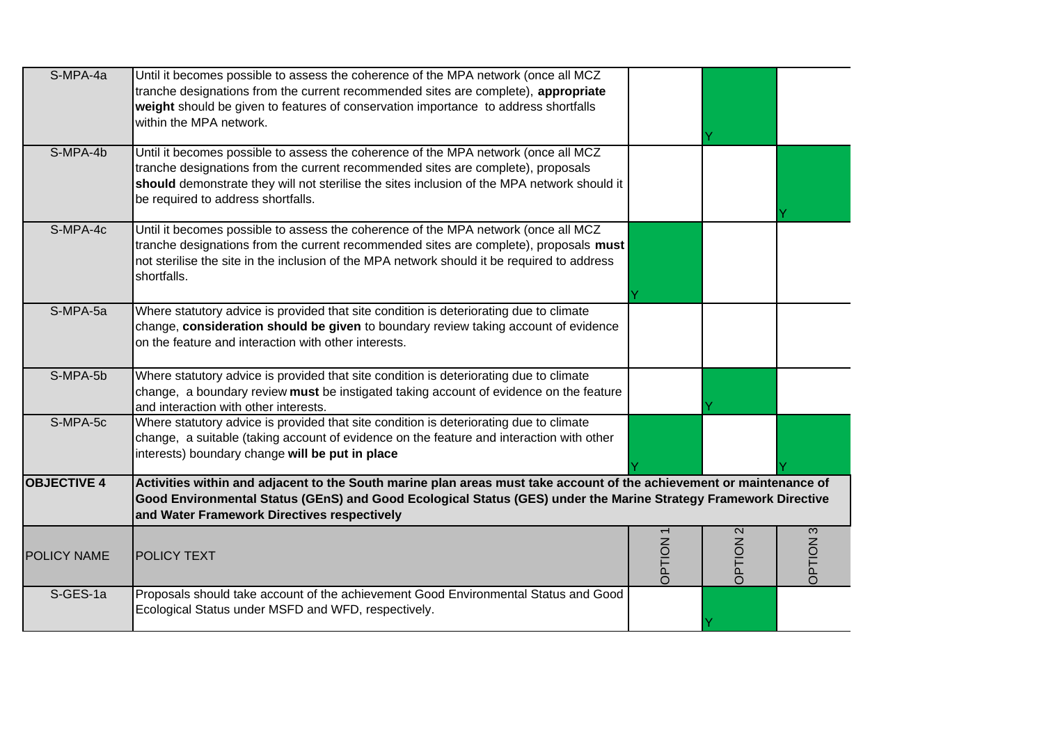| S-MPA-4a           | Until it becomes possible to assess the coherence of the MPA network (once all MCZ<br>tranche designations from the current recommended sites are complete), appropriate<br>weight should be given to features of conservation importance to address shortfalls<br>within the MPA network.                  |         |                             |                 |
|--------------------|-------------------------------------------------------------------------------------------------------------------------------------------------------------------------------------------------------------------------------------------------------------------------------------------------------------|---------|-----------------------------|-----------------|
| S-MPA-4b           | Until it becomes possible to assess the coherence of the MPA network (once all MCZ<br>tranche designations from the current recommended sites are complete), proposals<br>should demonstrate they will not sterilise the sites inclusion of the MPA network should it<br>be required to address shortfalls. |         |                             |                 |
| S-MPA-4c           | Until it becomes possible to assess the coherence of the MPA network (once all MCZ<br>tranche designations from the current recommended sites are complete), proposals must<br>not sterilise the site in the inclusion of the MPA network should it be required to address<br>shortfalls.                   |         |                             |                 |
| S-MPA-5a           | Where statutory advice is provided that site condition is deteriorating due to climate<br>change, consideration should be given to boundary review taking account of evidence<br>on the feature and interaction with other interests.                                                                       |         |                             |                 |
| S-MPA-5b           | Where statutory advice is provided that site condition is deteriorating due to climate<br>change, a boundary review must be instigated taking account of evidence on the feature<br>and interaction with other interests.                                                                                   |         |                             |                 |
| S-MPA-5c           | Where statutory advice is provided that site condition is deteriorating due to climate<br>change, a suitable (taking account of evidence on the feature and interaction with other<br>interests) boundary change will be put in place                                                                       |         |                             |                 |
| <b>OBJECTIVE 4</b> | Activities within and adjacent to the South marine plan areas must take account of the achievement or maintenance of<br>Good Environmental Status (GEnS) and Good Ecological Status (GES) under the Marine Strategy Framework Directive<br>and Water Framework Directives respectively                      |         |                             |                 |
| <b>POLICY NAME</b> | <b>POLICY TEXT</b>                                                                                                                                                                                                                                                                                          | NOILECC | $\mathbf{\Omega}$<br>NOILdC | <b>C NOILEC</b> |
| S-GES-1a           | Proposals should take account of the achievement Good Environmental Status and Good<br>Ecological Status under MSFD and WFD, respectively.                                                                                                                                                                  |         |                             |                 |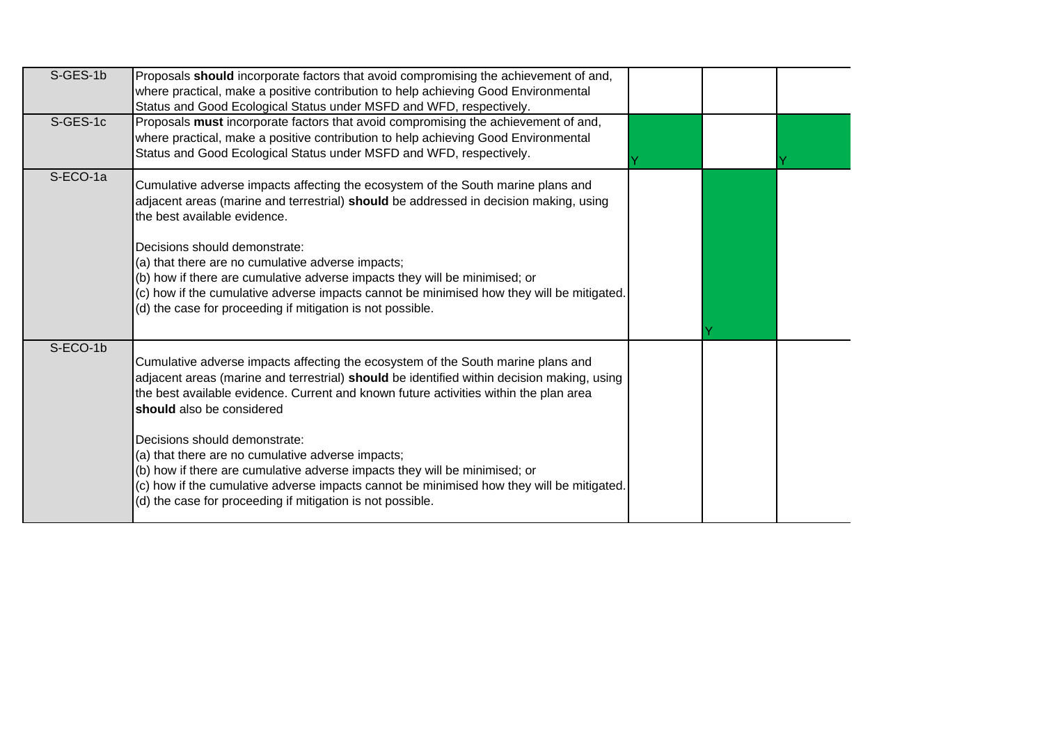| S-GES-1b | Proposals should incorporate factors that avoid compromising the achievement of and,<br>where practical, make a positive contribution to help achieving Good Environmental<br>Status and Good Ecological Status under MSFD and WFD, respectively.                                                                                                                                                                                                                                                                                                                                                                                   |  |  |
|----------|-------------------------------------------------------------------------------------------------------------------------------------------------------------------------------------------------------------------------------------------------------------------------------------------------------------------------------------------------------------------------------------------------------------------------------------------------------------------------------------------------------------------------------------------------------------------------------------------------------------------------------------|--|--|
| S-GES-1c | Proposals must incorporate factors that avoid compromising the achievement of and,<br>where practical, make a positive contribution to help achieving Good Environmental<br>Status and Good Ecological Status under MSFD and WFD, respectively.                                                                                                                                                                                                                                                                                                                                                                                     |  |  |
| S-ECO-1a | Cumulative adverse impacts affecting the ecosystem of the South marine plans and<br>adjacent areas (marine and terrestrial) should be addressed in decision making, using<br>the best available evidence.<br>Decisions should demonstrate:<br>(a) that there are no cumulative adverse impacts;<br>(b) how if there are cumulative adverse impacts they will be minimised; or<br>(c) how if the cumulative adverse impacts cannot be minimised how they will be mitigated.<br>(d) the case for proceeding if mitigation is not possible.                                                                                            |  |  |
| S-ECO-1b | Cumulative adverse impacts affecting the ecosystem of the South marine plans and<br>adjacent areas (marine and terrestrial) should be identified within decision making, using<br>the best available evidence. Current and known future activities within the plan area<br>should also be considered<br>Decisions should demonstrate:<br>(a) that there are no cumulative adverse impacts;<br>(b) how if there are cumulative adverse impacts they will be minimised; or<br>(c) how if the cumulative adverse impacts cannot be minimised how they will be mitigated.<br>(d) the case for proceeding if mitigation is not possible. |  |  |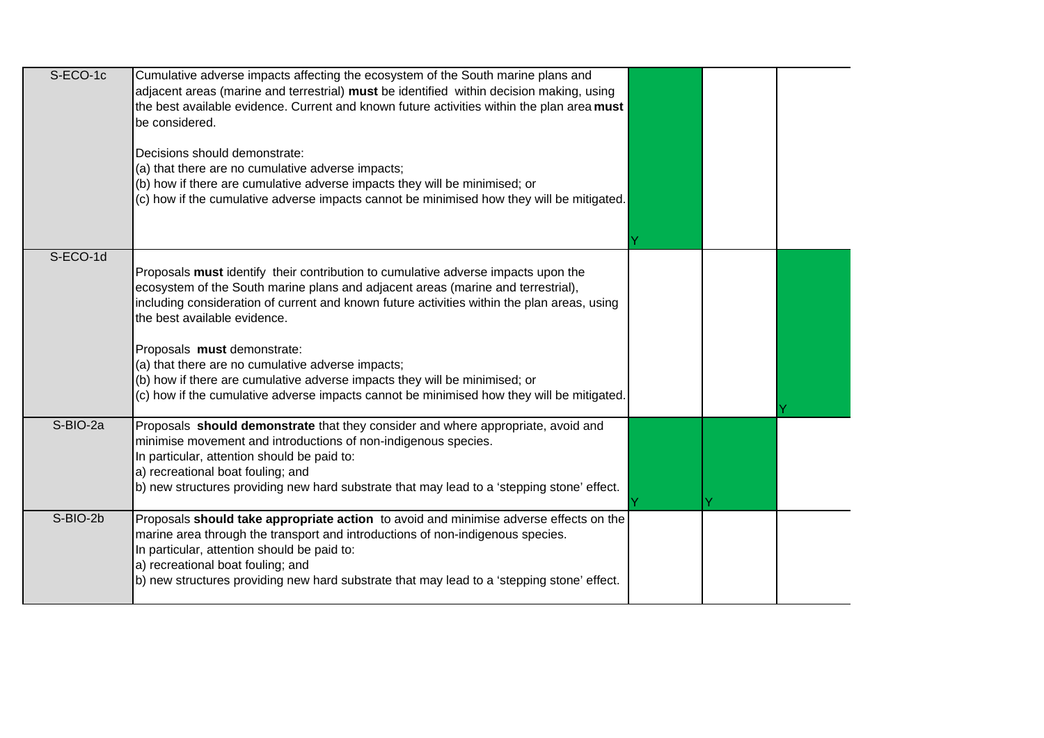| S-ECO-1c | Cumulative adverse impacts affecting the ecosystem of the South marine plans and<br>adjacent areas (marine and terrestrial) must be identified within decision making, using<br>the best available evidence. Current and known future activities within the plan area must<br>be considered.<br>Decisions should demonstrate:<br>(a) that there are no cumulative adverse impacts;<br>(b) how if there are cumulative adverse impacts they will be minimised; or<br>(c) how if the cumulative adverse impacts cannot be minimised how they will be mitigated.       |  |  |
|----------|---------------------------------------------------------------------------------------------------------------------------------------------------------------------------------------------------------------------------------------------------------------------------------------------------------------------------------------------------------------------------------------------------------------------------------------------------------------------------------------------------------------------------------------------------------------------|--|--|
|          |                                                                                                                                                                                                                                                                                                                                                                                                                                                                                                                                                                     |  |  |
| S-ECO-1d | Proposals must identify their contribution to cumulative adverse impacts upon the<br>ecosystem of the South marine plans and adjacent areas (marine and terrestrial),<br>including consideration of current and known future activities within the plan areas, using<br>the best available evidence.<br>Proposals must demonstrate:<br>(a) that there are no cumulative adverse impacts;<br>(b) how if there are cumulative adverse impacts they will be minimised; or<br>(c) how if the cumulative adverse impacts cannot be minimised how they will be mitigated. |  |  |
| S-BIO-2a | Proposals should demonstrate that they consider and where appropriate, avoid and<br>minimise movement and introductions of non-indigenous species.<br>In particular, attention should be paid to:<br>a) recreational boat fouling; and<br>b) new structures providing new hard substrate that may lead to a 'stepping stone' effect.                                                                                                                                                                                                                                |  |  |
| S-BIO-2b | Proposals should take appropriate action to avoid and minimise adverse effects on the<br>marine area through the transport and introductions of non-indigenous species.<br>In particular, attention should be paid to:<br>a) recreational boat fouling; and<br>b) new structures providing new hard substrate that may lead to a 'stepping stone' effect.                                                                                                                                                                                                           |  |  |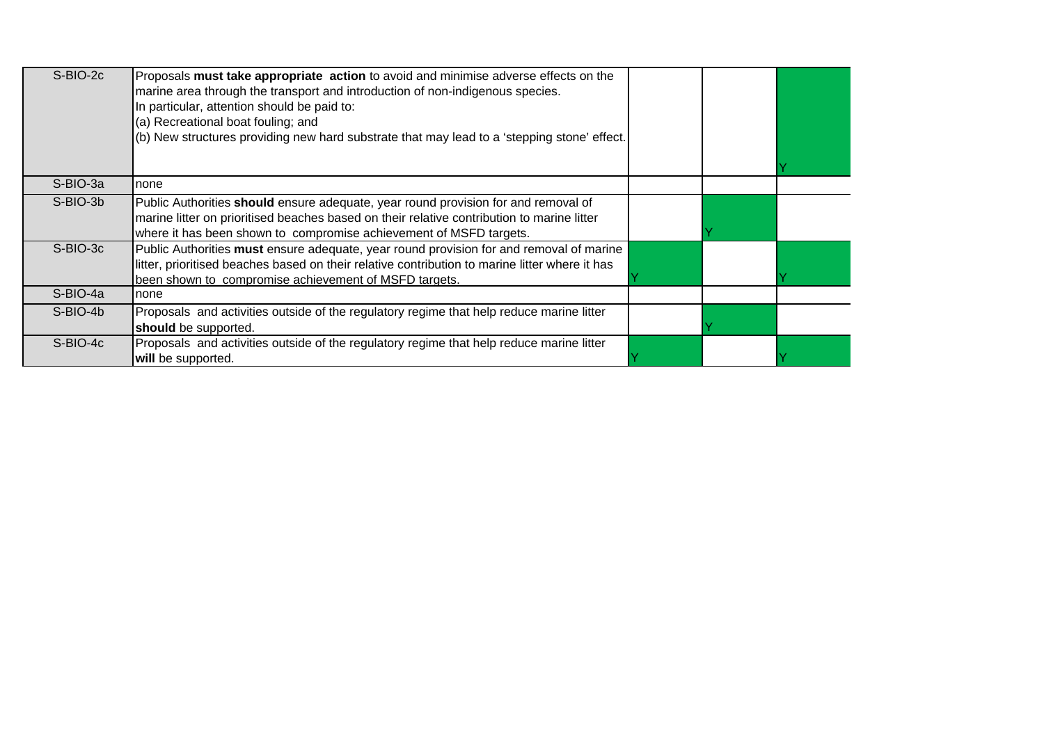| $S-BIO-2c$ | Proposals must take appropriate action to avoid and minimise adverse effects on the<br>marine area through the transport and introduction of non-indigenous species.<br>In particular, attention should be paid to:<br>(a) Recreational boat fouling; and<br>(b) New structures providing new hard substrate that may lead to a 'stepping stone' effect. |  |  |
|------------|----------------------------------------------------------------------------------------------------------------------------------------------------------------------------------------------------------------------------------------------------------------------------------------------------------------------------------------------------------|--|--|
| S-BIO-3a   | none                                                                                                                                                                                                                                                                                                                                                     |  |  |
| S-BIO-3b   | Public Authorities should ensure adequate, year round provision for and removal of<br>marine litter on prioritised beaches based on their relative contribution to marine litter<br>where it has been shown to compromise achievement of MSFD targets.                                                                                                   |  |  |
| S-BIO-3c   | Public Authorities must ensure adequate, year round provision for and removal of marine<br>litter, prioritised beaches based on their relative contribution to marine litter where it has<br>been shown to compromise achievement of MSFD targets.                                                                                                       |  |  |
| S-BIO-4a   | none                                                                                                                                                                                                                                                                                                                                                     |  |  |
| S-BIO-4b   | Proposals and activities outside of the regulatory regime that help reduce marine litter<br>should be supported.                                                                                                                                                                                                                                         |  |  |
| S-BIO-4c   | Proposals and activities outside of the regulatory regime that help reduce marine litter<br>will be supported.                                                                                                                                                                                                                                           |  |  |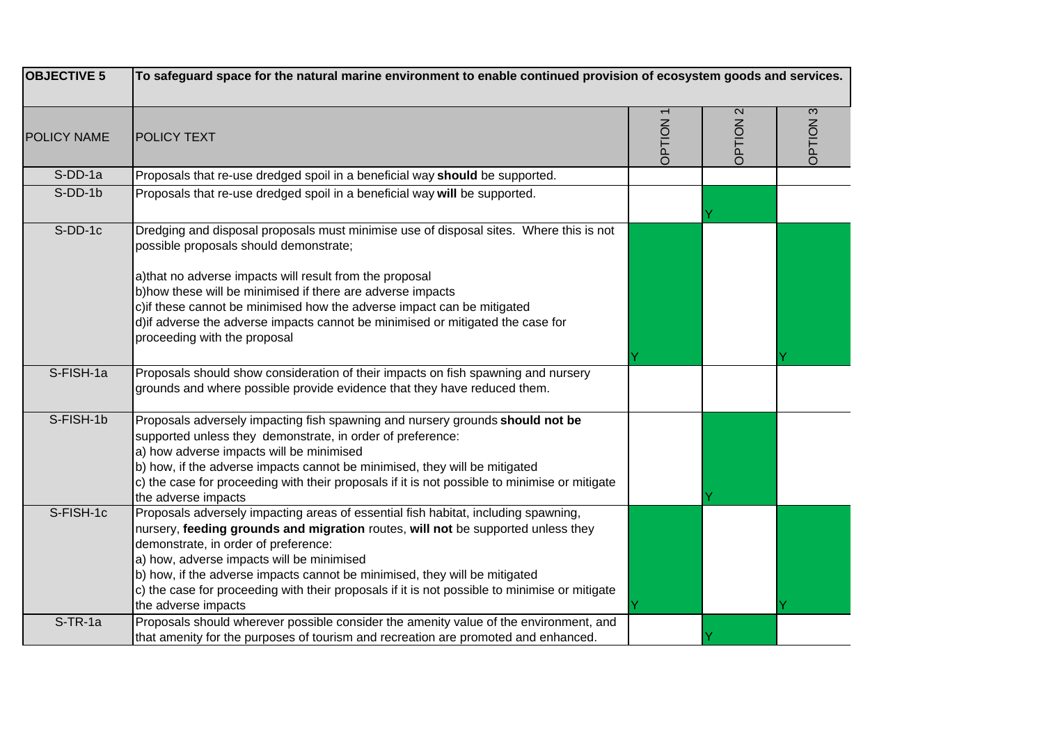| <b>OBJECTIVE 5</b> | To safeguard space for the natural marine environment to enable continued provision of ecosystem goods and services.                                                                                                                                                                                                                                                                                                                                              |        |                             |        |
|--------------------|-------------------------------------------------------------------------------------------------------------------------------------------------------------------------------------------------------------------------------------------------------------------------------------------------------------------------------------------------------------------------------------------------------------------------------------------------------------------|--------|-----------------------------|--------|
| <b>POLICY NAME</b> | <b>POLICY TEXT</b>                                                                                                                                                                                                                                                                                                                                                                                                                                                | NOILdC | $\mathbf{\Omega}$<br>NOILdC | NOILdC |
| S-DD-1a            | Proposals that re-use dredged spoil in a beneficial way should be supported.                                                                                                                                                                                                                                                                                                                                                                                      |        |                             |        |
| S-DD-1b            | Proposals that re-use dredged spoil in a beneficial way will be supported.                                                                                                                                                                                                                                                                                                                                                                                        |        |                             |        |
| S-DD-1c            | Dredging and disposal proposals must minimise use of disposal sites. Where this is not<br>possible proposals should demonstrate;<br>a)that no adverse impacts will result from the proposal<br>b) how these will be minimised if there are adverse impacts<br>c) if these cannot be minimised how the adverse impact can be mitigated<br>d) if adverse the adverse impacts cannot be minimised or mitigated the case for<br>proceeding with the proposal          |        |                             |        |
| S-FISH-1a          | Proposals should show consideration of their impacts on fish spawning and nursery<br>grounds and where possible provide evidence that they have reduced them.                                                                                                                                                                                                                                                                                                     |        |                             |        |
| S-FISH-1b          | Proposals adversely impacting fish spawning and nursery grounds should not be<br>supported unless they demonstrate, in order of preference:<br>a) how adverse impacts will be minimised<br>b) how, if the adverse impacts cannot be minimised, they will be mitigated<br>c) the case for proceeding with their proposals if it is not possible to minimise or mitigate<br>the adverse impacts                                                                     |        |                             |        |
| S-FISH-1c          | Proposals adversely impacting areas of essential fish habitat, including spawning,<br>nursery, feeding grounds and migration routes, will not be supported unless they<br>demonstrate, in order of preference:<br>a) how, adverse impacts will be minimised<br>b) how, if the adverse impacts cannot be minimised, they will be mitigated<br>c) the case for proceeding with their proposals if it is not possible to minimise or mitigate<br>the adverse impacts |        |                             |        |
| $S$ -TR-1a         | Proposals should wherever possible consider the amenity value of the environment, and<br>that amenity for the purposes of tourism and recreation are promoted and enhanced.                                                                                                                                                                                                                                                                                       |        |                             |        |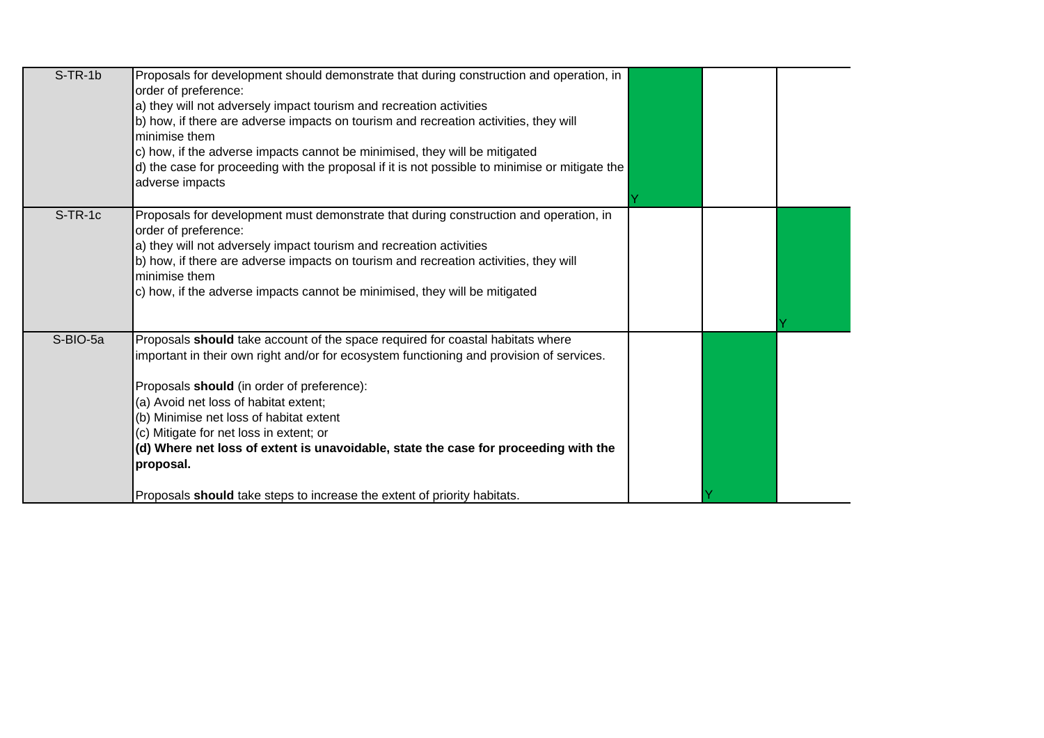| $S-TR-1b$ | Proposals for development should demonstrate that during construction and operation, in<br>order of preference:<br>a) they will not adversely impact tourism and recreation activities<br>b) how, if there are adverse impacts on tourism and recreation activities, they will<br>Iminimise them<br>c) how, if the adverse impacts cannot be minimised, they will be mitigated<br>d) the case for proceeding with the proposal if it is not possible to minimise or mitigate the<br>adverse impacts                                            |  |  |
|-----------|------------------------------------------------------------------------------------------------------------------------------------------------------------------------------------------------------------------------------------------------------------------------------------------------------------------------------------------------------------------------------------------------------------------------------------------------------------------------------------------------------------------------------------------------|--|--|
| $S-TR-1c$ | Proposals for development must demonstrate that during construction and operation, in<br>order of preference:<br>a) they will not adversely impact tourism and recreation activities<br>b) how, if there are adverse impacts on tourism and recreation activities, they will<br>Iminimise them<br>c) how, if the adverse impacts cannot be minimised, they will be mitigated                                                                                                                                                                   |  |  |
| S-BIO-5a  | Proposals should take account of the space required for coastal habitats where<br>important in their own right and/or for ecosystem functioning and provision of services.<br>Proposals should (in order of preference):<br>(a) Avoid net loss of habitat extent;<br>(b) Minimise net loss of habitat extent<br>(c) Mitigate for net loss in extent; or<br>(d) Where net loss of extent is unavoidable, state the case for proceeding with the<br>proposal.<br>Proposals <b>should</b> take steps to increase the extent of priority habitats. |  |  |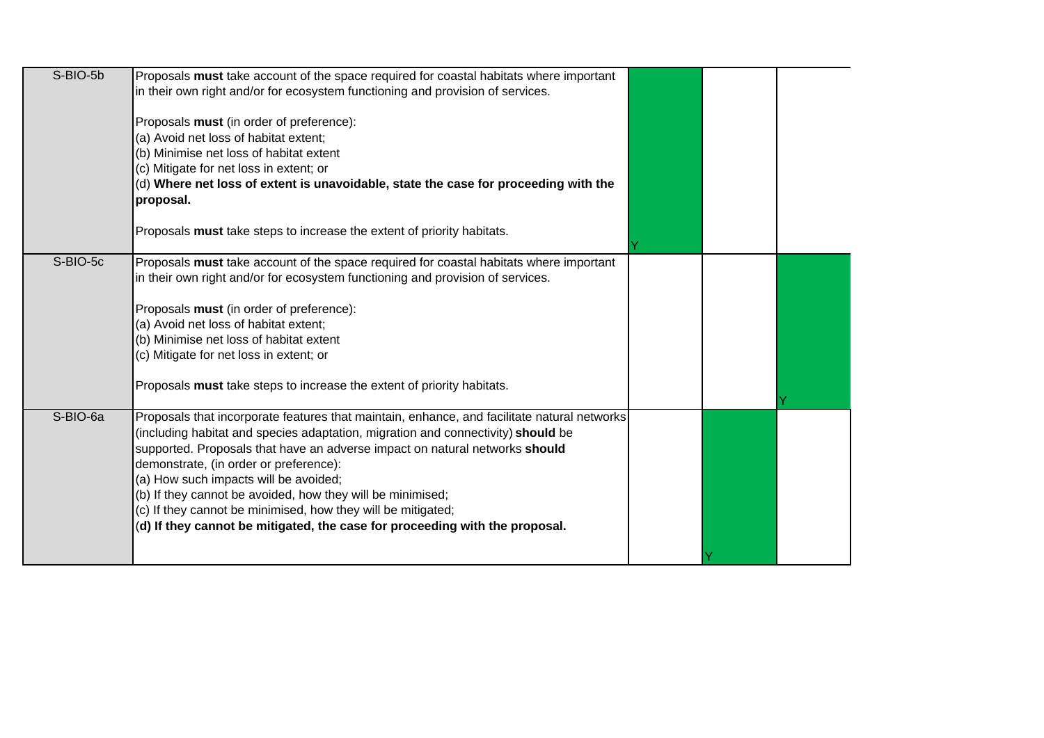| S-BIO-5b | Proposals must take account of the space required for coastal habitats where important      |  |  |
|----------|---------------------------------------------------------------------------------------------|--|--|
|          | in their own right and/or for ecosystem functioning and provision of services.              |  |  |
|          |                                                                                             |  |  |
|          | Proposals must (in order of preference):                                                    |  |  |
|          | (a) Avoid net loss of habitat extent;                                                       |  |  |
|          | (b) Minimise net loss of habitat extent                                                     |  |  |
|          | (c) Mitigate for net loss in extent; or                                                     |  |  |
|          | (d) Where net loss of extent is unavoidable, state the case for proceeding with the         |  |  |
|          | proposal.                                                                                   |  |  |
|          |                                                                                             |  |  |
|          | Proposals must take steps to increase the extent of priority habitats.                      |  |  |
|          |                                                                                             |  |  |
| S-BIO-5c | Proposals must take account of the space required for coastal habitats where important      |  |  |
|          | in their own right and/or for ecosystem functioning and provision of services.              |  |  |
|          |                                                                                             |  |  |
|          | Proposals must (in order of preference):                                                    |  |  |
|          | (a) Avoid net loss of habitat extent;                                                       |  |  |
|          | (b) Minimise net loss of habitat extent                                                     |  |  |
|          | (c) Mitigate for net loss in extent; or                                                     |  |  |
|          |                                                                                             |  |  |
|          | Proposals must take steps to increase the extent of priority habitats.                      |  |  |
|          |                                                                                             |  |  |
| S-BIO-6a | Proposals that incorporate features that maintain, enhance, and facilitate natural networks |  |  |
|          | (including habitat and species adaptation, migration and connectivity) should be            |  |  |
|          | supported. Proposals that have an adverse impact on natural networks should                 |  |  |
|          | demonstrate, (in order or preference):                                                      |  |  |
|          | (a) How such impacts will be avoided;                                                       |  |  |
|          | (b) If they cannot be avoided, how they will be minimised;                                  |  |  |
|          | (c) If they cannot be minimised, how they will be mitigated;                                |  |  |
|          | (d) If they cannot be mitigated, the case for proceeding with the proposal.                 |  |  |
|          |                                                                                             |  |  |
|          |                                                                                             |  |  |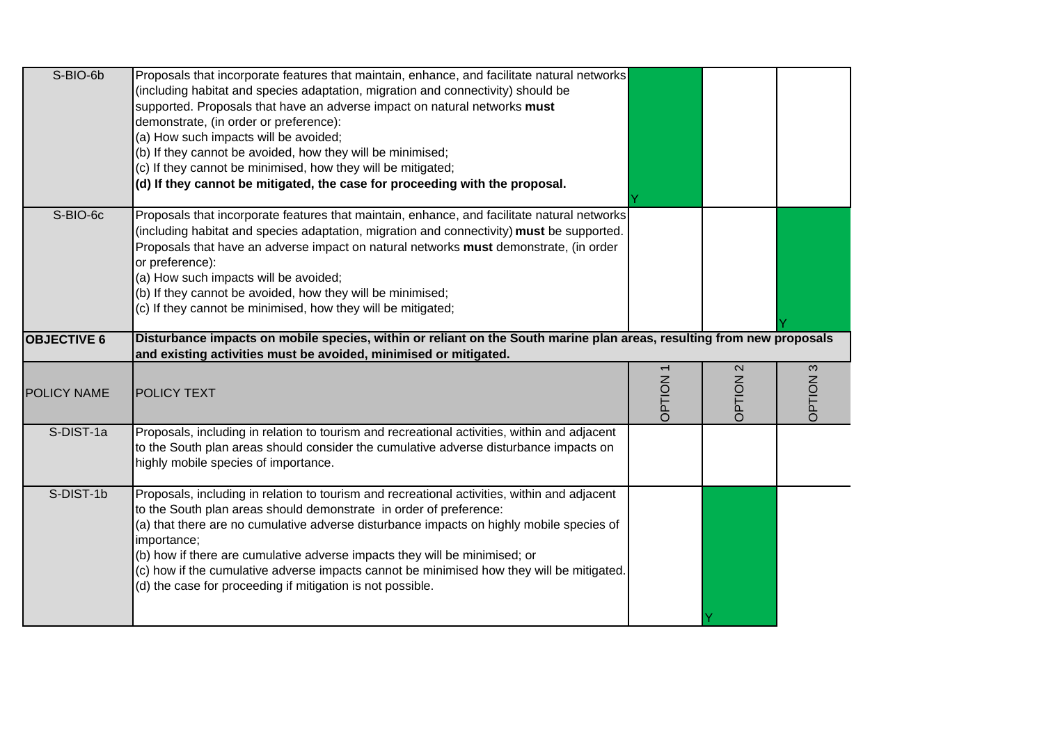| S-BIO-6b           | Proposals that incorporate features that maintain, enhance, and facilitate natural networks<br>(including habitat and species adaptation, migration and connectivity) should be<br>supported. Proposals that have an adverse impact on natural networks must<br>demonstrate, (in order or preference):<br>(a) How such impacts will be avoided;<br>(b) If they cannot be avoided, how they will be minimised;<br>(c) If they cannot be minimised, how they will be mitigated;<br>(d) If they cannot be mitigated, the case for proceeding with the proposal. |                |                   |                       |
|--------------------|--------------------------------------------------------------------------------------------------------------------------------------------------------------------------------------------------------------------------------------------------------------------------------------------------------------------------------------------------------------------------------------------------------------------------------------------------------------------------------------------------------------------------------------------------------------|----------------|-------------------|-----------------------|
| S-BIO-6c           | Proposals that incorporate features that maintain, enhance, and facilitate natural networks<br>(including habitat and species adaptation, migration and connectivity) must be supported.<br>Proposals that have an adverse impact on natural networks must demonstrate, (in order<br>or preference):<br>(a) How such impacts will be avoided;<br>(b) If they cannot be avoided, how they will be minimised;<br>(c) If they cannot be minimised, how they will be mitigated;                                                                                  |                |                   |                       |
| <b>OBJECTIVE 6</b> | Disturbance impacts on mobile species, within or reliant on the South marine plan areas, resulting from new proposals<br>and existing activities must be avoided, minimised or mitigated.                                                                                                                                                                                                                                                                                                                                                                    |                |                   |                       |
|                    |                                                                                                                                                                                                                                                                                                                                                                                                                                                                                                                                                              |                | $\mathbf{\Omega}$ | $\boldsymbol{\infty}$ |
| <b>POLICY NAME</b> | <b>POLICY TEXT</b>                                                                                                                                                                                                                                                                                                                                                                                                                                                                                                                                           | <b>DPTION1</b> | NOILdC            | NOILEGC               |
| S-DIST-1a          | Proposals, including in relation to tourism and recreational activities, within and adjacent<br>to the South plan areas should consider the cumulative adverse disturbance impacts on<br>highly mobile species of importance.                                                                                                                                                                                                                                                                                                                                |                |                   |                       |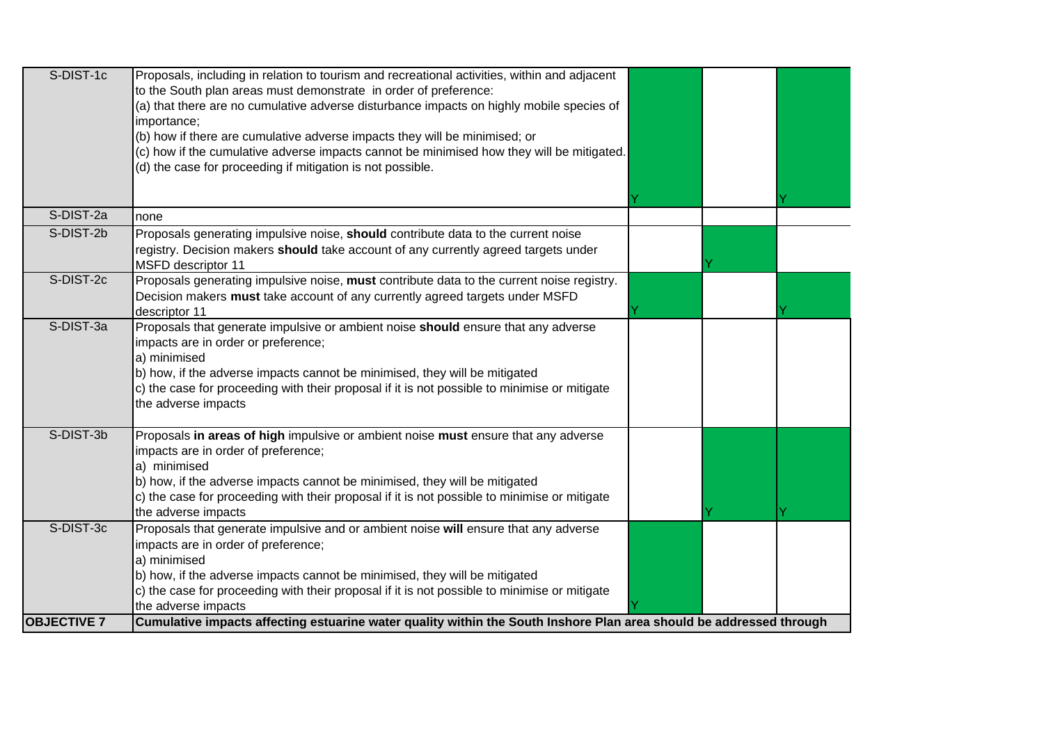| S-DIST-1c          | Proposals, including in relation to tourism and recreational activities, within and adjacent<br>to the South plan areas must demonstrate in order of preference:<br>(a) that there are no cumulative adverse disturbance impacts on highly mobile species of<br>importance;<br>(b) how if there are cumulative adverse impacts they will be minimised; or<br>(c) how if the cumulative adverse impacts cannot be minimised how they will be mitigated.<br>(d) the case for proceeding if mitigation is not possible. |  |  |
|--------------------|----------------------------------------------------------------------------------------------------------------------------------------------------------------------------------------------------------------------------------------------------------------------------------------------------------------------------------------------------------------------------------------------------------------------------------------------------------------------------------------------------------------------|--|--|
| S-DIST-2a          | none                                                                                                                                                                                                                                                                                                                                                                                                                                                                                                                 |  |  |
| S-DIST-2b          | Proposals generating impulsive noise, should contribute data to the current noise<br>registry. Decision makers should take account of any currently agreed targets under<br><b>MSFD</b> descriptor 11                                                                                                                                                                                                                                                                                                                |  |  |
| S-DIST-2c          | Proposals generating impulsive noise, must contribute data to the current noise registry.<br>Decision makers must take account of any currently agreed targets under MSFD<br>descriptor 11                                                                                                                                                                                                                                                                                                                           |  |  |
| S-DIST-3a          | Proposals that generate impulsive or ambient noise should ensure that any adverse<br>impacts are in order or preference;<br>a) minimised<br>b) how, if the adverse impacts cannot be minimised, they will be mitigated<br>c) the case for proceeding with their proposal if it is not possible to minimise or mitigate<br>the adverse impacts                                                                                                                                                                        |  |  |
| S-DIST-3b          | Proposals in areas of high impulsive or ambient noise must ensure that any adverse<br>impacts are in order of preference;<br>a) minimised<br>b) how, if the adverse impacts cannot be minimised, they will be mitigated<br>c) the case for proceeding with their proposal if it is not possible to minimise or mitigate<br>the adverse impacts                                                                                                                                                                       |  |  |
| S-DIST-3c          | Proposals that generate impulsive and or ambient noise will ensure that any adverse<br>impacts are in order of preference;<br>a) minimised<br>b) how, if the adverse impacts cannot be minimised, they will be mitigated<br>c) the case for proceeding with their proposal if it is not possible to minimise or mitigate<br>the adverse impacts                                                                                                                                                                      |  |  |
| <b>OBJECTIVE 7</b> | Cumulative impacts affecting estuarine water quality within the South Inshore Plan area should be addressed through                                                                                                                                                                                                                                                                                                                                                                                                  |  |  |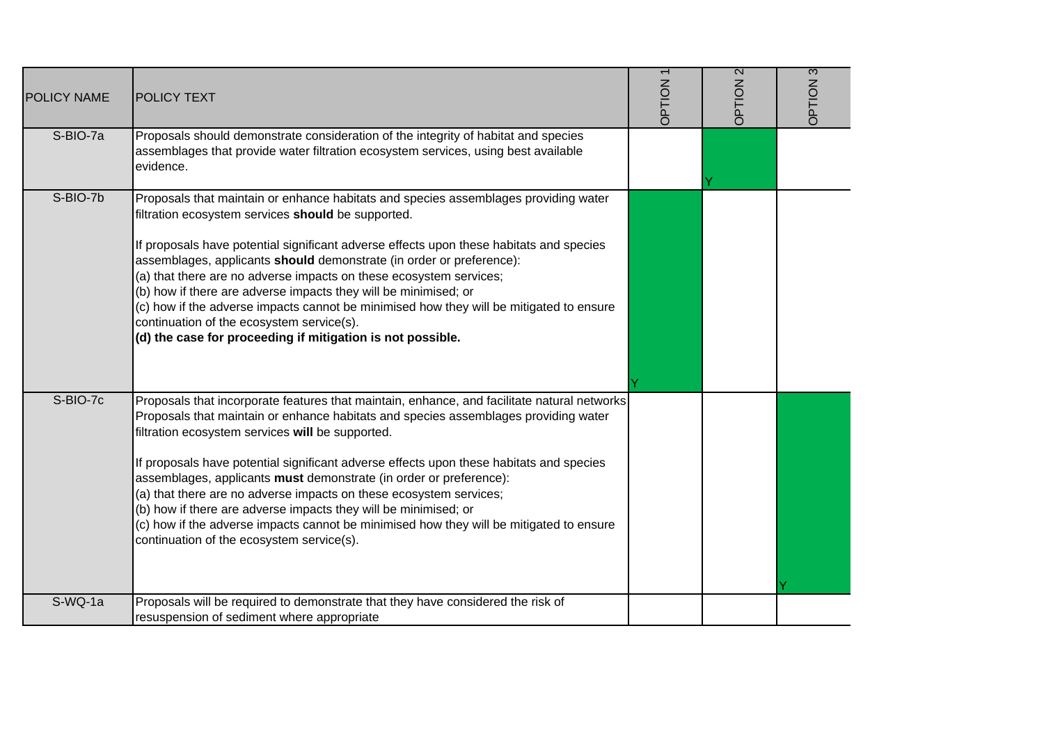| POLICY NAME | <b>POLICY TEXT</b>                                                                                                                                                                                                                                                                                                                                                                                                                                                                                                                                                                                                                                                                       | <b>DPTION1</b> | $\overline{2}$<br>NOILdC | 3<br>NOILdC |
|-------------|------------------------------------------------------------------------------------------------------------------------------------------------------------------------------------------------------------------------------------------------------------------------------------------------------------------------------------------------------------------------------------------------------------------------------------------------------------------------------------------------------------------------------------------------------------------------------------------------------------------------------------------------------------------------------------------|----------------|--------------------------|-------------|
| S-BIO-7a    | Proposals should demonstrate consideration of the integrity of habitat and species<br>assemblages that provide water filtration ecosystem services, using best available<br>evidence.                                                                                                                                                                                                                                                                                                                                                                                                                                                                                                    |                |                          |             |
| S-BIO-7b    | Proposals that maintain or enhance habitats and species assemblages providing water<br>filtration ecosystem services should be supported.<br>If proposals have potential significant adverse effects upon these habitats and species<br>assemblages, applicants should demonstrate (in order or preference):<br>(a) that there are no adverse impacts on these ecosystem services;<br>(b) how if there are adverse impacts they will be minimised; or<br>(c) how if the adverse impacts cannot be minimised how they will be mitigated to ensure<br>continuation of the ecosystem service(s).<br>(d) the case for proceeding if mitigation is not possible.                              |                |                          |             |
| S-BIO-7c    | Proposals that incorporate features that maintain, enhance, and facilitate natural networks<br>Proposals that maintain or enhance habitats and species assemblages providing water<br>filtration ecosystem services will be supported.<br>If proposals have potential significant adverse effects upon these habitats and species<br>assemblages, applicants must demonstrate (in order or preference):<br>(a) that there are no adverse impacts on these ecosystem services;<br>(b) how if there are adverse impacts they will be minimised; or<br>(c) how if the adverse impacts cannot be minimised how they will be mitigated to ensure<br>continuation of the ecosystem service(s). |                |                          |             |
| $S-WQ-1a$   | Proposals will be required to demonstrate that they have considered the risk of<br>resuspension of sediment where appropriate                                                                                                                                                                                                                                                                                                                                                                                                                                                                                                                                                            |                |                          |             |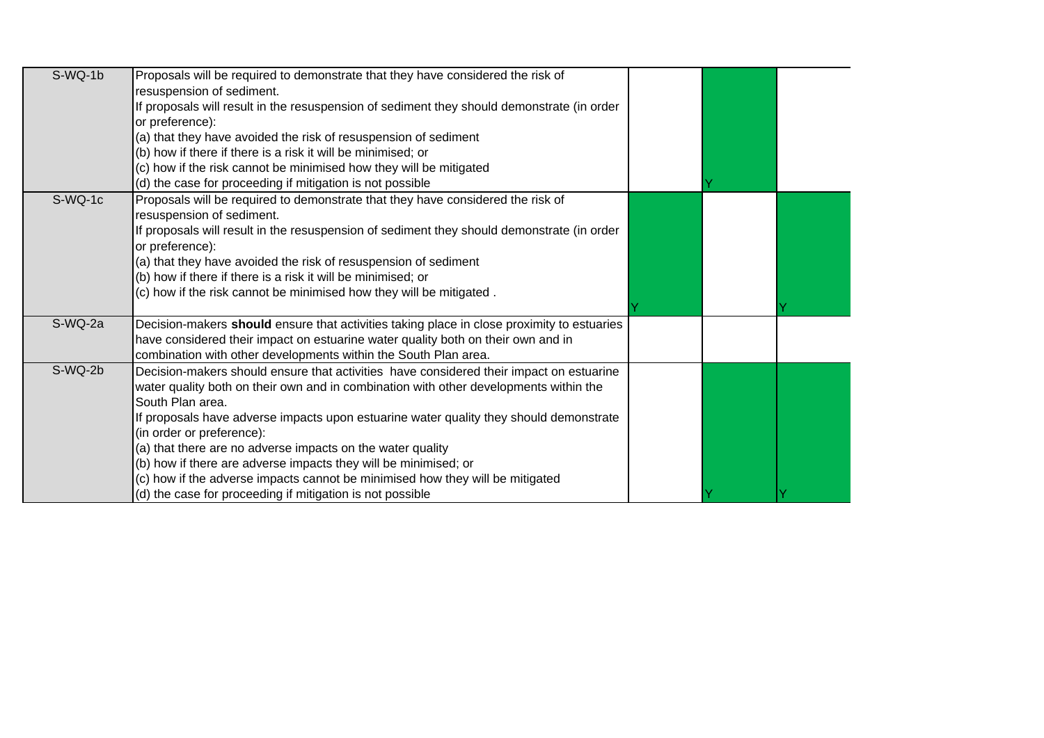| $S-WQ-1b$ | Proposals will be required to demonstrate that they have considered the risk of<br>resuspension of sediment.<br>If proposals will result in the resuspension of sediment they should demonstrate (in order<br>or preference):<br>(a) that they have avoided the risk of resuspension of sediment<br>(b) how if there if there is a risk it will be minimised; or<br>(c) how if the risk cannot be minimised how they will be mitigated<br>(d) the case for proceeding if mitigation is not possible                                                                                                        |  |  |
|-----------|------------------------------------------------------------------------------------------------------------------------------------------------------------------------------------------------------------------------------------------------------------------------------------------------------------------------------------------------------------------------------------------------------------------------------------------------------------------------------------------------------------------------------------------------------------------------------------------------------------|--|--|
| S-WQ-1c   | Proposals will be required to demonstrate that they have considered the risk of<br>resuspension of sediment.<br>If proposals will result in the resuspension of sediment they should demonstrate (in order<br>or preference):<br>(a) that they have avoided the risk of resuspension of sediment<br>(b) how if there if there is a risk it will be minimised; or<br>(c) how if the risk cannot be minimised how they will be mitigated.                                                                                                                                                                    |  |  |
| S-WQ-2a   | Decision-makers should ensure that activities taking place in close proximity to estuaries<br>have considered their impact on estuarine water quality both on their own and in<br>combination with other developments within the South Plan area.                                                                                                                                                                                                                                                                                                                                                          |  |  |
| S-WQ-2b   | Decision-makers should ensure that activities have considered their impact on estuarine<br>water quality both on their own and in combination with other developments within the<br>South Plan area.<br>If proposals have adverse impacts upon estuarine water quality they should demonstrate<br>(in order or preference):<br>(a) that there are no adverse impacts on the water quality<br>(b) how if there are adverse impacts they will be minimised; or<br>(c) how if the adverse impacts cannot be minimised how they will be mitigated<br>(d) the case for proceeding if mitigation is not possible |  |  |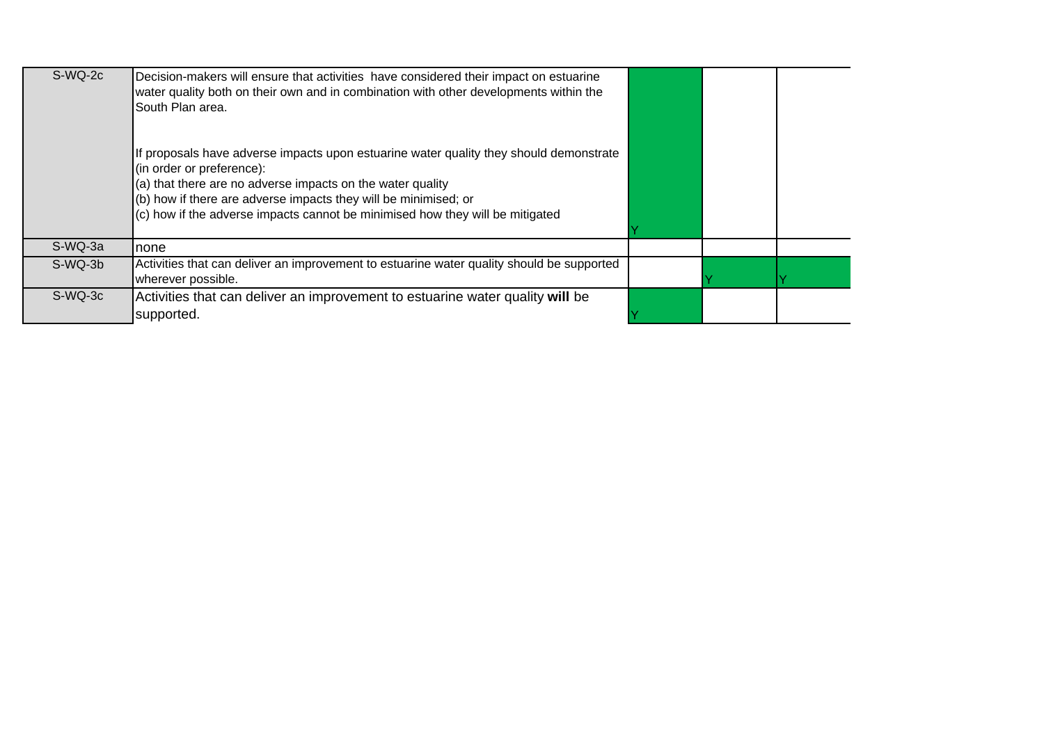| S-WQ-2c | Decision-makers will ensure that activities have considered their impact on estuarine<br>water quality both on their own and in combination with other developments within the<br>South Plan area.                                                                                                                                    |  |  |
|---------|---------------------------------------------------------------------------------------------------------------------------------------------------------------------------------------------------------------------------------------------------------------------------------------------------------------------------------------|--|--|
|         | If proposals have adverse impacts upon estuarine water quality they should demonstrate<br>(in order or preference):<br>(a) that there are no adverse impacts on the water quality<br>(b) how if there are adverse impacts they will be minimised; or<br>(c) how if the adverse impacts cannot be minimised how they will be mitigated |  |  |
| S-WQ-3a | none                                                                                                                                                                                                                                                                                                                                  |  |  |
| S-WQ-3b | Activities that can deliver an improvement to estuarine water quality should be supported<br>wherever possible.                                                                                                                                                                                                                       |  |  |
| S-WQ-3c | Activities that can deliver an improvement to estuarine water quality will be<br>supported.                                                                                                                                                                                                                                           |  |  |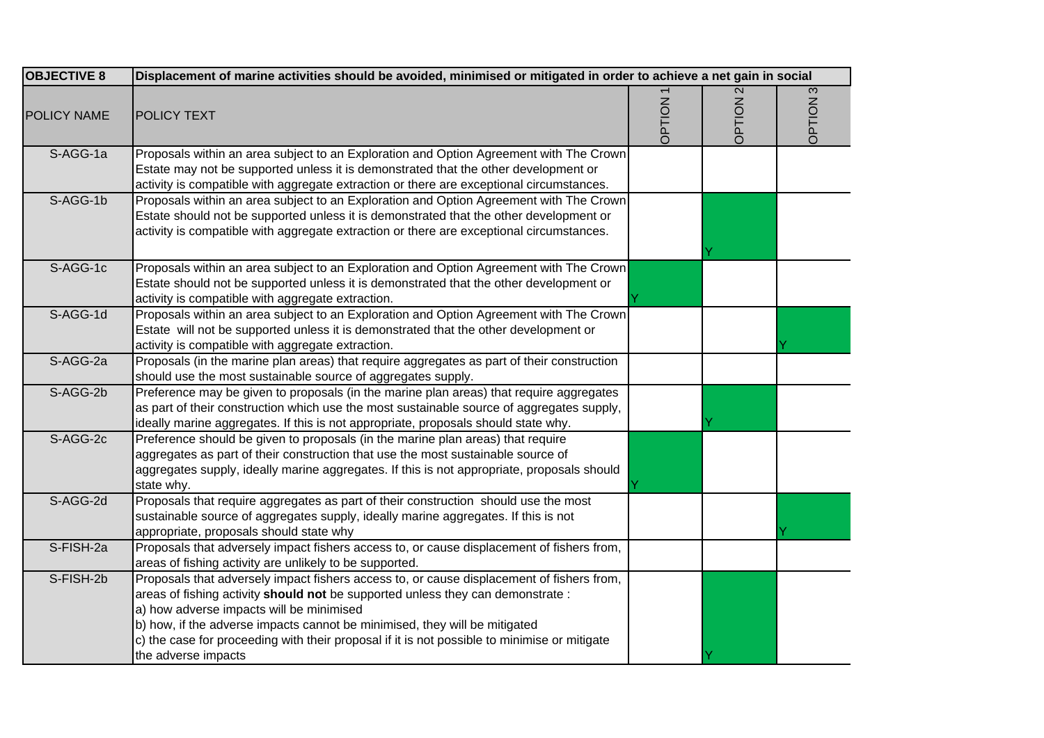| <b>OBJECTIVE 8</b> | Displacement of marine activities should be avoided, minimised or mitigated in order to achieve a net gain in social                                                                                                                                                                                                                                                                                                          |               |                          |             |
|--------------------|-------------------------------------------------------------------------------------------------------------------------------------------------------------------------------------------------------------------------------------------------------------------------------------------------------------------------------------------------------------------------------------------------------------------------------|---------------|--------------------------|-------------|
| <b>POLICY NAME</b> | <b>POLICY TEXT</b>                                                                                                                                                                                                                                                                                                                                                                                                            | <b>NOILdC</b> | $\overline{2}$<br>NOILdC | 3<br>NOILdC |
| S-AGG-1a           | Proposals within an area subject to an Exploration and Option Agreement with The Crown<br>Estate may not be supported unless it is demonstrated that the other development or<br>activity is compatible with aggregate extraction or there are exceptional circumstances.                                                                                                                                                     |               |                          |             |
| S-AGG-1b           | Proposals within an area subject to an Exploration and Option Agreement with The Crown<br>Estate should not be supported unless it is demonstrated that the other development or<br>activity is compatible with aggregate extraction or there are exceptional circumstances.                                                                                                                                                  |               |                          |             |
| S-AGG-1c           | Proposals within an area subject to an Exploration and Option Agreement with The Crown<br>Estate should not be supported unless it is demonstrated that the other development or<br>activity is compatible with aggregate extraction.                                                                                                                                                                                         |               |                          |             |
| S-AGG-1d           | Proposals within an area subject to an Exploration and Option Agreement with The Crown<br>Estate will not be supported unless it is demonstrated that the other development or<br>activity is compatible with aggregate extraction.                                                                                                                                                                                           |               |                          |             |
| S-AGG-2a           | Proposals (in the marine plan areas) that require aggregates as part of their construction<br>should use the most sustainable source of aggregates supply.                                                                                                                                                                                                                                                                    |               |                          |             |
| S-AGG-2b           | Preference may be given to proposals (in the marine plan areas) that require aggregates<br>as part of their construction which use the most sustainable source of aggregates supply,<br>ideally marine aggregates. If this is not appropriate, proposals should state why.                                                                                                                                                    |               |                          |             |
| S-AGG-2c           | Preference should be given to proposals (in the marine plan areas) that require<br>aggregates as part of their construction that use the most sustainable source of<br>aggregates supply, ideally marine aggregates. If this is not appropriate, proposals should<br>state why.                                                                                                                                               |               |                          |             |
| S-AGG-2d           | Proposals that require aggregates as part of their construction should use the most<br>sustainable source of aggregates supply, ideally marine aggregates. If this is not<br>appropriate, proposals should state why                                                                                                                                                                                                          |               |                          |             |
| S-FISH-2a          | Proposals that adversely impact fishers access to, or cause displacement of fishers from,<br>areas of fishing activity are unlikely to be supported.                                                                                                                                                                                                                                                                          |               |                          |             |
| S-FISH-2b          | Proposals that adversely impact fishers access to, or cause displacement of fishers from,<br>areas of fishing activity should not be supported unless they can demonstrate :<br>a) how adverse impacts will be minimised<br>b) how, if the adverse impacts cannot be minimised, they will be mitigated<br>c) the case for proceeding with their proposal if it is not possible to minimise or mitigate<br>the adverse impacts |               |                          |             |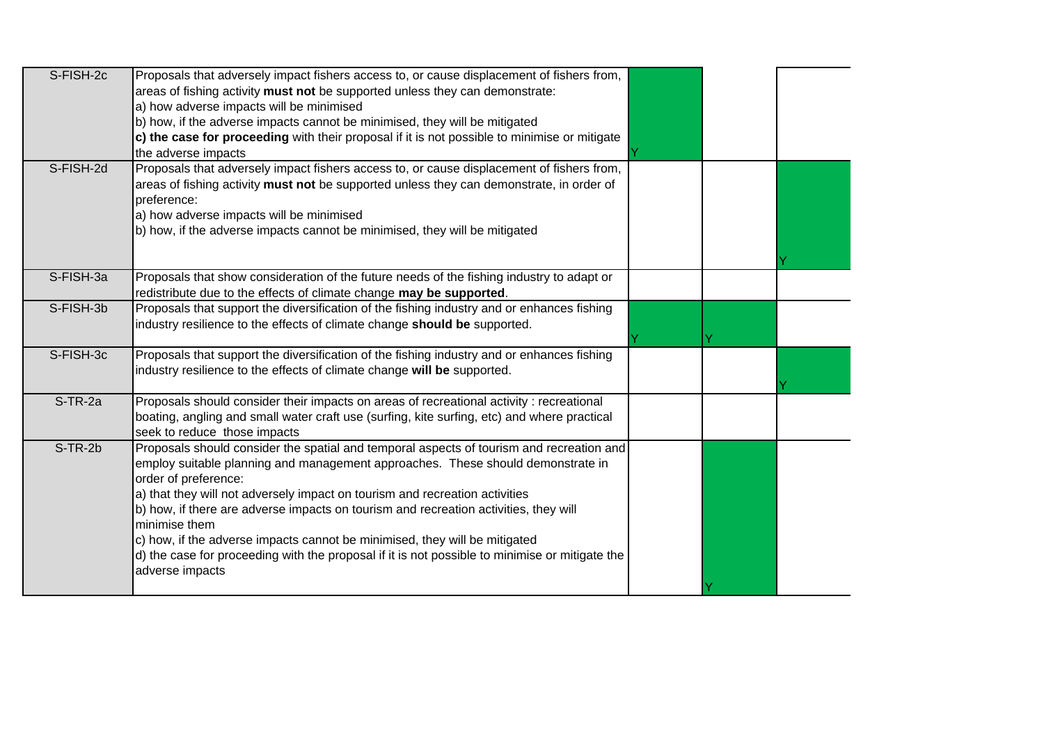| S-FISH-2c  | Proposals that adversely impact fishers access to, or cause displacement of fishers from,               |  |  |
|------------|---------------------------------------------------------------------------------------------------------|--|--|
|            | areas of fishing activity must not be supported unless they can demonstrate:                            |  |  |
|            | a) how adverse impacts will be minimised                                                                |  |  |
|            | b) how, if the adverse impacts cannot be minimised, they will be mitigated                              |  |  |
|            | c) the case for proceeding with their proposal if it is not possible to minimise or mitigate            |  |  |
|            | the adverse impacts                                                                                     |  |  |
| S-FISH-2d  | Proposals that adversely impact fishers access to, or cause displacement of fishers from,               |  |  |
|            | areas of fishing activity must not be supported unless they can demonstrate, in order of                |  |  |
|            | preference:                                                                                             |  |  |
|            | a) how adverse impacts will be minimised                                                                |  |  |
|            | b) how, if the adverse impacts cannot be minimised, they will be mitigated                              |  |  |
|            |                                                                                                         |  |  |
|            |                                                                                                         |  |  |
| S-FISH-3a  | Proposals that show consideration of the future needs of the fishing industry to adapt or               |  |  |
|            | redistribute due to the effects of climate change may be supported.                                     |  |  |
| S-FISH-3b  | Proposals that support the diversification of the fishing industry and or enhances fishing              |  |  |
|            | industry resilience to the effects of climate change should be supported.                               |  |  |
|            |                                                                                                         |  |  |
| S-FISH-3c  | Proposals that support the diversification of the fishing industry and or enhances fishing              |  |  |
|            | industry resilience to the effects of climate change will be supported.                                 |  |  |
|            |                                                                                                         |  |  |
| $S$ -TR-2a | Proposals should consider their impacts on areas of recreational activity : recreational                |  |  |
|            | boating, angling and small water craft use (surfing, kite surfing, etc) and where practical             |  |  |
|            | seek to reduce those impacts                                                                            |  |  |
| $S-TR-2b$  | Proposals should consider the spatial and temporal aspects of tourism and recreation and                |  |  |
|            | employ suitable planning and management approaches. These should demonstrate in<br>order of preference: |  |  |
|            | a) that they will not adversely impact on tourism and recreation activities                             |  |  |
|            | b) how, if there are adverse impacts on tourism and recreation activities, they will                    |  |  |
|            | minimise them                                                                                           |  |  |
|            | c) how, if the adverse impacts cannot be minimised, they will be mitigated                              |  |  |
|            |                                                                                                         |  |  |
|            |                                                                                                         |  |  |
|            | d) the case for proceeding with the proposal if it is not possible to minimise or mitigate the          |  |  |
|            | adverse impacts                                                                                         |  |  |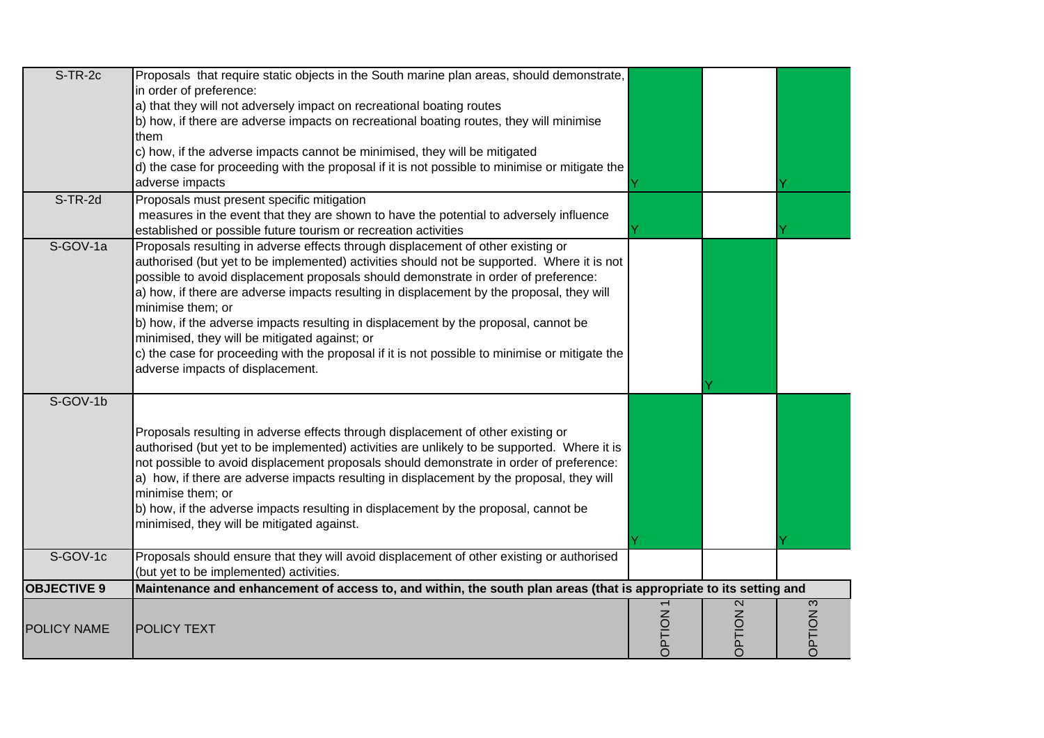| $S-TR-2c$          | Proposals that require static objects in the South marine plan areas, should demonstrate,<br>in order of preference:<br>a) that they will not adversely impact on recreational boating routes<br>b) how, if there are adverse impacts on recreational boating routes, they will minimise<br>them<br>c) how, if the adverse impacts cannot be minimised, they will be mitigated<br>d) the case for proceeding with the proposal if it is not possible to minimise or mitigate the<br>adverse impacts                                                                                                                                                                   |               |                     |                    |
|--------------------|-----------------------------------------------------------------------------------------------------------------------------------------------------------------------------------------------------------------------------------------------------------------------------------------------------------------------------------------------------------------------------------------------------------------------------------------------------------------------------------------------------------------------------------------------------------------------------------------------------------------------------------------------------------------------|---------------|---------------------|--------------------|
| S-TR-2d            | Proposals must present specific mitigation<br>measures in the event that they are shown to have the potential to adversely influence<br>established or possible future tourism or recreation activities                                                                                                                                                                                                                                                                                                                                                                                                                                                               |               |                     |                    |
| S-GOV-1a           | Proposals resulting in adverse effects through displacement of other existing or<br>authorised (but yet to be implemented) activities should not be supported. Where it is not<br>possible to avoid displacement proposals should demonstrate in order of preference:<br>a) how, if there are adverse impacts resulting in displacement by the proposal, they will<br>minimise them; or<br>b) how, if the adverse impacts resulting in displacement by the proposal, cannot be<br>minimised, they will be mitigated against; or<br>c) the case for proceeding with the proposal if it is not possible to minimise or mitigate the<br>adverse impacts of displacement. |               |                     |                    |
| S-GOV-1b           | Proposals resulting in adverse effects through displacement of other existing or<br>authorised (but yet to be implemented) activities are unlikely to be supported. Where it is<br>not possible to avoid displacement proposals should demonstrate in order of preference:<br>a) how, if there are adverse impacts resulting in displacement by the proposal, they will<br>minimise them; or<br>b) how, if the adverse impacts resulting in displacement by the proposal, cannot be<br>minimised, they will be mitigated against.                                                                                                                                     |               |                     |                    |
| S-GOV-1c           | Proposals should ensure that they will avoid displacement of other existing or authorised<br>(but yet to be implemented) activities.                                                                                                                                                                                                                                                                                                                                                                                                                                                                                                                                  |               |                     |                    |
| <b>OBJECTIVE 9</b> | Maintenance and enhancement of access to, and within, the south plan areas (that is appropriate to its setting and                                                                                                                                                                                                                                                                                                                                                                                                                                                                                                                                                    |               |                     |                    |
| <b>POLICY NAME</b> | <b>POLICY TEXT</b>                                                                                                                                                                                                                                                                                                                                                                                                                                                                                                                                                                                                                                                    | <b>OPTION</b> | OPTION <sub>2</sub> | $\infty$<br>NOILdC |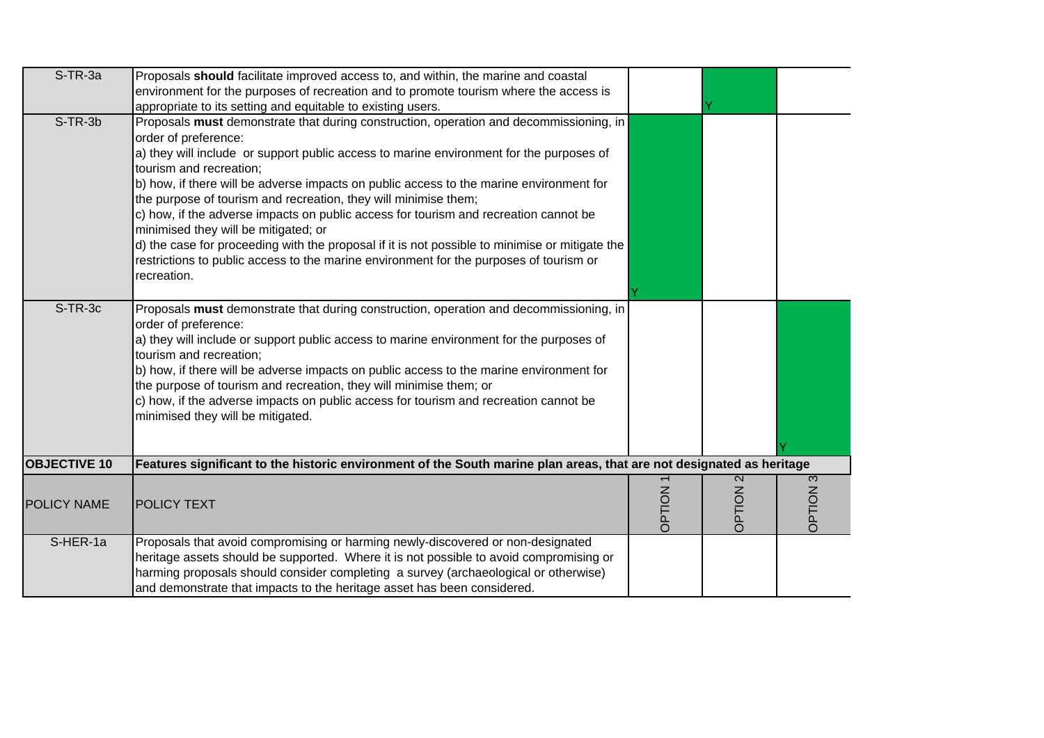| $S$ -TR-3a          | Proposals should facilitate improved access to, and within, the marine and coastal                                           |                |                           |          |
|---------------------|------------------------------------------------------------------------------------------------------------------------------|----------------|---------------------------|----------|
|                     | environment for the purposes of recreation and to promote tourism where the access is                                        |                |                           |          |
|                     | appropriate to its setting and equitable to existing users.                                                                  |                |                           |          |
| $S-TR-3b$           | Proposals must demonstrate that during construction, operation and decommissioning, in                                       |                |                           |          |
|                     | order of preference:                                                                                                         |                |                           |          |
|                     | a) they will include or support public access to marine environment for the purposes of<br>tourism and recreation;           |                |                           |          |
|                     | b) how, if there will be adverse impacts on public access to the marine environment for                                      |                |                           |          |
|                     | the purpose of tourism and recreation, they will minimise them;                                                              |                |                           |          |
|                     | c) how, if the adverse impacts on public access for tourism and recreation cannot be<br>minimised they will be mitigated; or |                |                           |          |
|                     | d) the case for proceeding with the proposal if it is not possible to minimise or mitigate the                               |                |                           |          |
|                     | restrictions to public access to the marine environment for the purposes of tourism or                                       |                |                           |          |
|                     | recreation.                                                                                                                  |                |                           |          |
|                     |                                                                                                                              |                |                           |          |
| S-TR-3c             | Proposals must demonstrate that during construction, operation and decommissioning, in                                       |                |                           |          |
|                     | order of preference:                                                                                                         |                |                           |          |
|                     | a) they will include or support public access to marine environment for the purposes of                                      |                |                           |          |
|                     | tourism and recreation;                                                                                                      |                |                           |          |
|                     | b) how, if there will be adverse impacts on public access to the marine environment for                                      |                |                           |          |
|                     | the purpose of tourism and recreation, they will minimise them; or                                                           |                |                           |          |
|                     | c) how, if the adverse impacts on public access for tourism and recreation cannot be                                         |                |                           |          |
|                     | minimised they will be mitigated.                                                                                            |                |                           |          |
|                     |                                                                                                                              |                |                           |          |
|                     |                                                                                                                              |                |                           |          |
| <b>OBJECTIVE 10</b> | Features significant to the historic environment of the South marine plan areas, that are not designated as heritage         |                |                           |          |
|                     |                                                                                                                              |                | $\boldsymbol{\mathsf{N}}$ | $\infty$ |
|                     |                                                                                                                              |                |                           |          |
| POLICY NAME         | <b>POLICY TEXT</b>                                                                                                           | <b>DPTION1</b> | NOILdC                    | NOILEC   |
|                     |                                                                                                                              |                |                           |          |
| S-HER-1a            | Proposals that avoid compromising or harming newly-discovered or non-designated                                              |                |                           |          |
|                     | heritage assets should be supported. Where it is not possible to avoid compromising or                                       |                |                           |          |
|                     | harming proposals should consider completing a survey (archaeological or otherwise)                                          |                |                           |          |
|                     | and demonstrate that impacts to the heritage asset has been considered.                                                      |                |                           |          |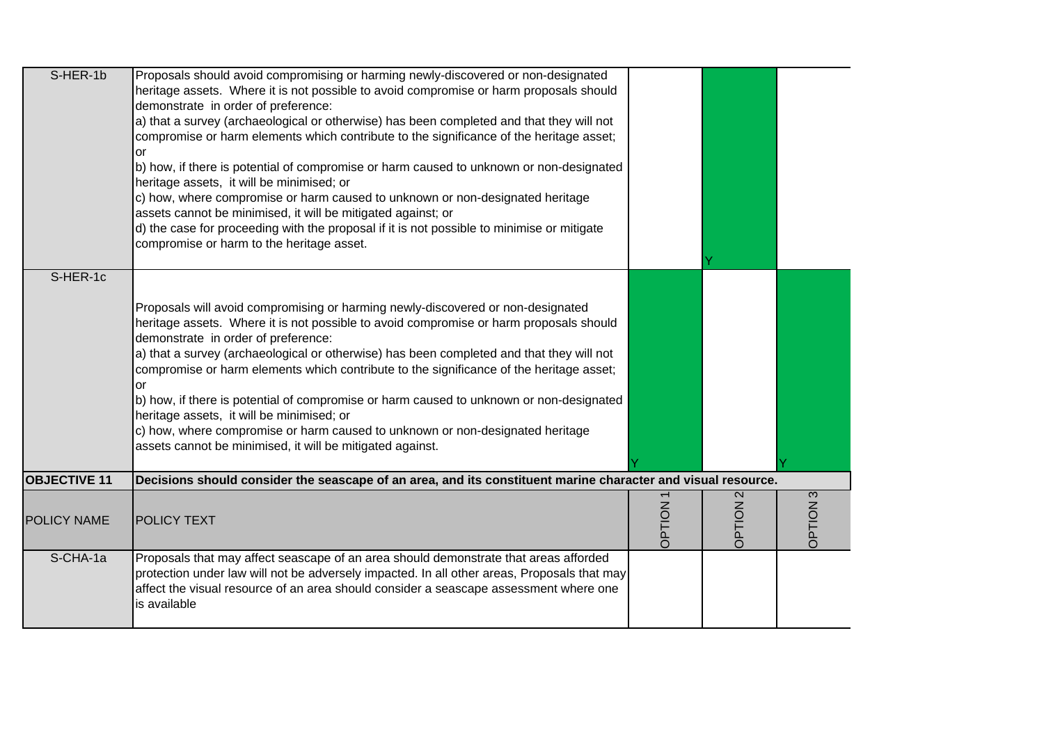| S-HER-1b            | Proposals should avoid compromising or harming newly-discovered or non-designated<br>heritage assets. Where it is not possible to avoid compromise or harm proposals should<br>demonstrate in order of preference:<br>a) that a survey (archaeological or otherwise) has been completed and that they will not<br>compromise or harm elements which contribute to the significance of the heritage asset;<br>or<br>b) how, if there is potential of compromise or harm caused to unknown or non-designated<br>heritage assets, it will be minimised; or<br>$ c $ how, where compromise or harm caused to unknown or non-designated heritage<br>assets cannot be minimised, it will be mitigated against; or<br>d) the case for proceeding with the proposal if it is not possible to minimise or mitigate<br>compromise or harm to the heritage asset. |               |                             |                 |
|---------------------|--------------------------------------------------------------------------------------------------------------------------------------------------------------------------------------------------------------------------------------------------------------------------------------------------------------------------------------------------------------------------------------------------------------------------------------------------------------------------------------------------------------------------------------------------------------------------------------------------------------------------------------------------------------------------------------------------------------------------------------------------------------------------------------------------------------------------------------------------------|---------------|-----------------------------|-----------------|
| S-HER-1c            | Proposals will avoid compromising or harming newly-discovered or non-designated<br>heritage assets. Where it is not possible to avoid compromise or harm proposals should<br>demonstrate in order of preference:<br>a) that a survey (archaeological or otherwise) has been completed and that they will not<br>compromise or harm elements which contribute to the significance of the heritage asset;<br>or<br>b) how, if there is potential of compromise or harm caused to unknown or non-designated<br>heritage assets, it will be minimised; or<br>c) how, where compromise or harm caused to unknown or non-designated heritage<br>assets cannot be minimised, it will be mitigated against.                                                                                                                                                    |               |                             |                 |
| <b>OBJECTIVE 11</b> | Decisions should consider the seascape of an area, and its constituent marine character and visual resource.                                                                                                                                                                                                                                                                                                                                                                                                                                                                                                                                                                                                                                                                                                                                           |               |                             |                 |
| POLICY NAME         | <b>POLICY TEXT</b>                                                                                                                                                                                                                                                                                                                                                                                                                                                                                                                                                                                                                                                                                                                                                                                                                                     | <b>OPTION</b> | $\mathbf{\Omega}$<br>NOILdC | <b>OPTION 3</b> |
| S-CHA-1a            | Proposals that may affect seascape of an area should demonstrate that areas afforded<br>protection under law will not be adversely impacted. In all other areas, Proposals that may<br>affect the visual resource of an area should consider a seascape assessment where one<br>is available                                                                                                                                                                                                                                                                                                                                                                                                                                                                                                                                                           |               |                             |                 |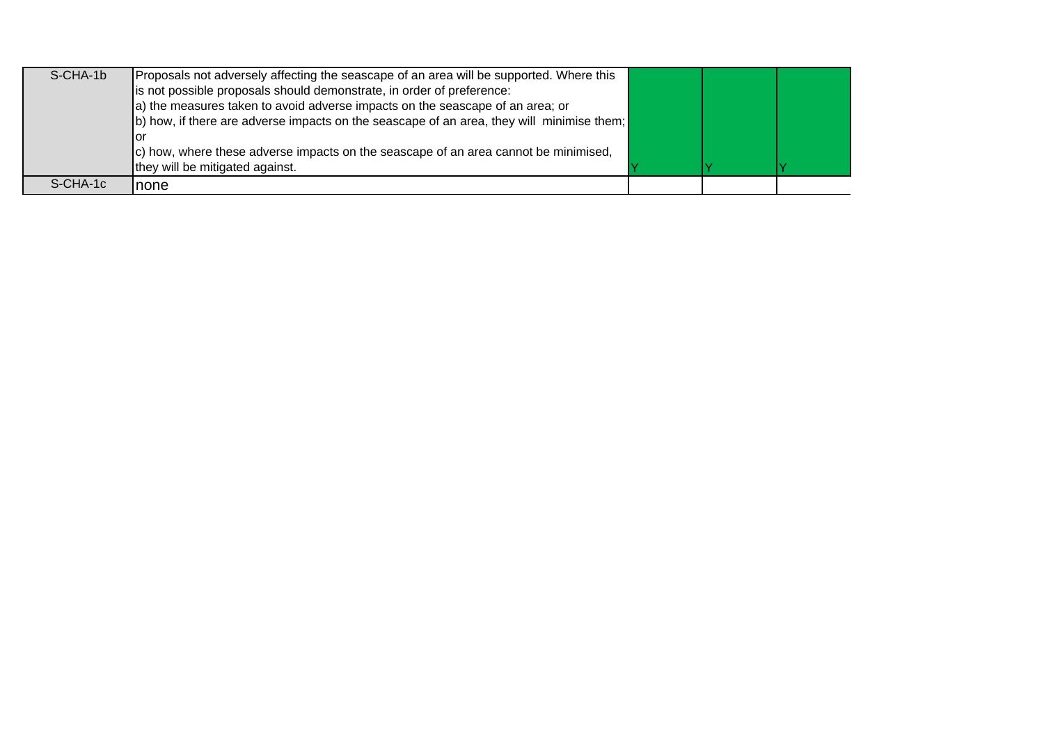| S-CHA-1b | Proposals not adversely affecting the seascape of an area will be supported. Where this   |  |  |
|----------|-------------------------------------------------------------------------------------------|--|--|
|          | is not possible proposals should demonstrate, in order of preference:                     |  |  |
|          | a) the measures taken to avoid adverse impacts on the seascape of an area; or             |  |  |
|          | b) how, if there are adverse impacts on the seascape of an area, they will minimise them; |  |  |
|          | lor                                                                                       |  |  |
|          | c) how, where these adverse impacts on the seascape of an area cannot be minimised,       |  |  |
|          | they will be mitigated against.                                                           |  |  |
| S-CHA-1c | Inone                                                                                     |  |  |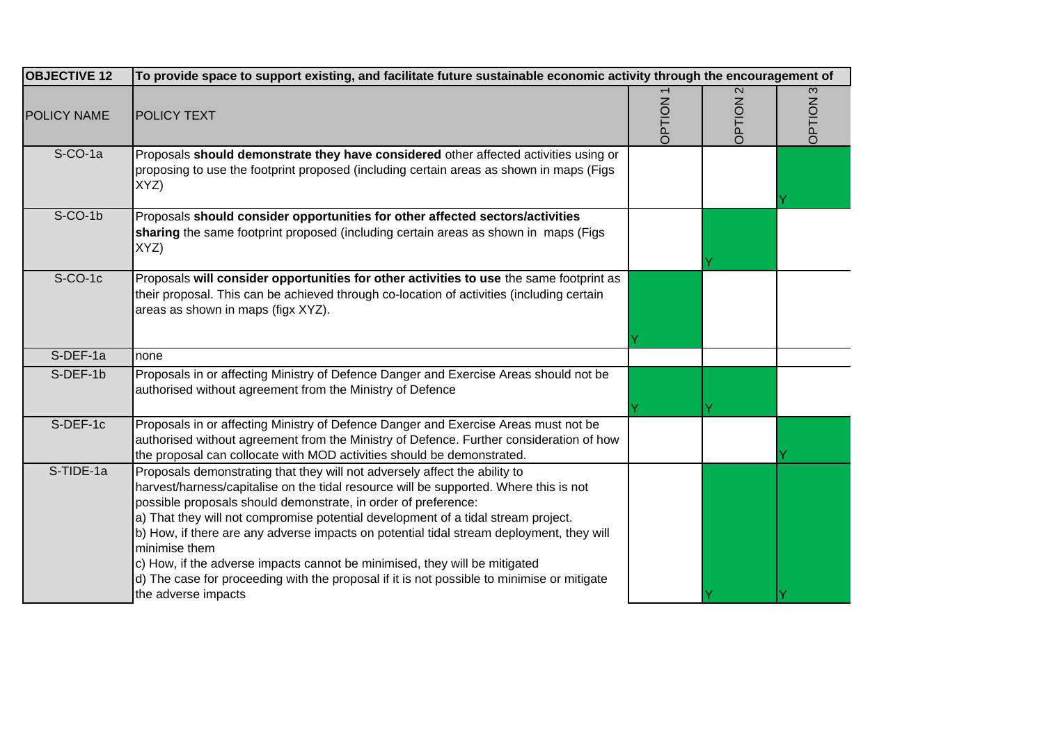| <b>OBJECTIVE 12</b> | To provide space to support existing, and facilitate future sustainable economic activity through the encouragement of                                                                                                                                                                                                                                                                                                                                                                                                                                                                                                                     |        |                                    |        |
|---------------------|--------------------------------------------------------------------------------------------------------------------------------------------------------------------------------------------------------------------------------------------------------------------------------------------------------------------------------------------------------------------------------------------------------------------------------------------------------------------------------------------------------------------------------------------------------------------------------------------------------------------------------------------|--------|------------------------------------|--------|
| POLICY NAME         | <b>POLICY TEXT</b>                                                                                                                                                                                                                                                                                                                                                                                                                                                                                                                                                                                                                         | NOILdC | $\mathbf{\Omega}$<br><b>OPTION</b> | NOILdC |
| S-CO-1a             | Proposals should demonstrate they have considered other affected activities using or<br>proposing to use the footprint proposed (including certain areas as shown in maps (Figs<br>XYZ)                                                                                                                                                                                                                                                                                                                                                                                                                                                    |        |                                    |        |
| $S-CO-1b$           | Proposals should consider opportunities for other affected sectors/activities<br>sharing the same footprint proposed (including certain areas as shown in maps (Figs<br>XYZ)                                                                                                                                                                                                                                                                                                                                                                                                                                                               |        |                                    |        |
| $S-CO-1c$           | Proposals will consider opportunities for other activities to use the same footprint as<br>their proposal. This can be achieved through co-location of activities (including certain<br>areas as shown in maps (figx XYZ).                                                                                                                                                                                                                                                                                                                                                                                                                 |        |                                    |        |
| S-DEF-1a            | none                                                                                                                                                                                                                                                                                                                                                                                                                                                                                                                                                                                                                                       |        |                                    |        |
| S-DEF-1b            | Proposals in or affecting Ministry of Defence Danger and Exercise Areas should not be<br>authorised without agreement from the Ministry of Defence                                                                                                                                                                                                                                                                                                                                                                                                                                                                                         |        |                                    |        |
| S-DEF-1c            | Proposals in or affecting Ministry of Defence Danger and Exercise Areas must not be<br>authorised without agreement from the Ministry of Defence. Further consideration of how<br>the proposal can collocate with MOD activities should be demonstrated.                                                                                                                                                                                                                                                                                                                                                                                   |        |                                    |        |
| S-TIDE-1a           | Proposals demonstrating that they will not adversely affect the ability to<br>harvest/harness/capitalise on the tidal resource will be supported. Where this is not<br>possible proposals should demonstrate, in order of preference:<br>a) That they will not compromise potential development of a tidal stream project.<br>b) How, if there are any adverse impacts on potential tidal stream deployment, they will<br>minimise them<br>c) How, if the adverse impacts cannot be minimised, they will be mitigated<br>d) The case for proceeding with the proposal if it is not possible to minimise or mitigate<br>the adverse impacts |        |                                    |        |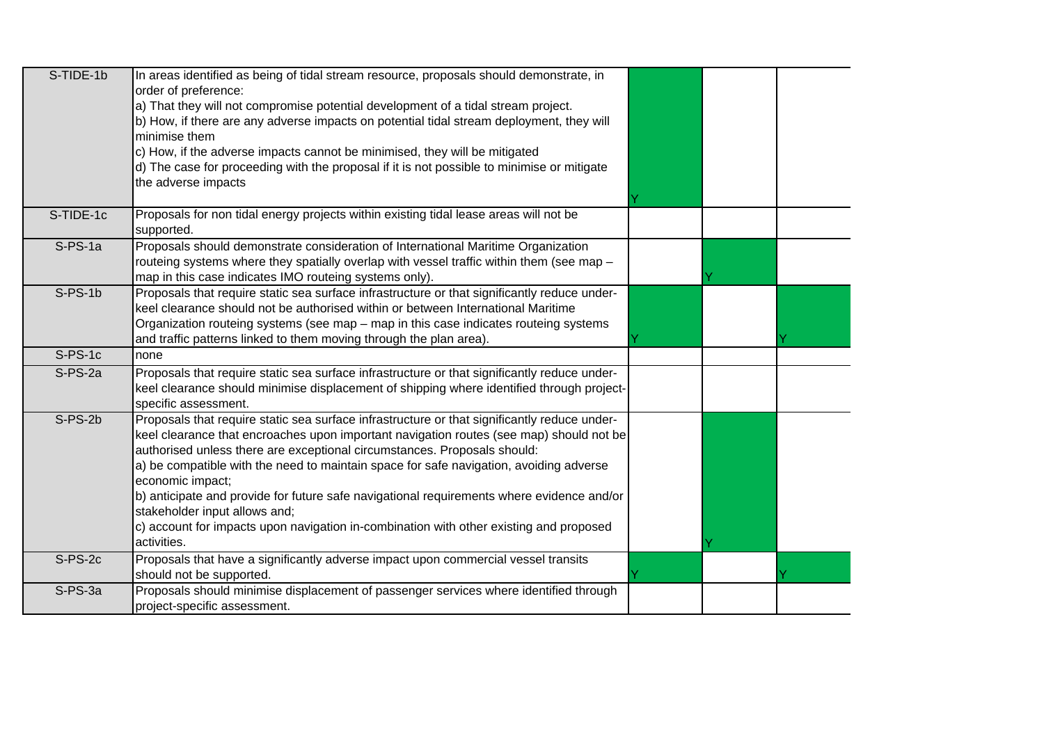| S-TIDE-1b | In areas identified as being of tidal stream resource, proposals should demonstrate, in<br>order of preference:<br>a) That they will not compromise potential development of a tidal stream project.<br>b) How, if there are any adverse impacts on potential tidal stream deployment, they will<br>minimise them<br>c) How, if the adverse impacts cannot be minimised, they will be mitigated<br>d) The case for proceeding with the proposal if it is not possible to minimise or mitigate<br>the adverse impacts                                                                                                     |  |  |
|-----------|--------------------------------------------------------------------------------------------------------------------------------------------------------------------------------------------------------------------------------------------------------------------------------------------------------------------------------------------------------------------------------------------------------------------------------------------------------------------------------------------------------------------------------------------------------------------------------------------------------------------------|--|--|
| S-TIDE-1c | Proposals for non tidal energy projects within existing tidal lease areas will not be<br>supported.                                                                                                                                                                                                                                                                                                                                                                                                                                                                                                                      |  |  |
| $S-PS-1a$ | Proposals should demonstrate consideration of International Maritime Organization<br>routeing systems where they spatially overlap with vessel traffic within them (see map -<br>map in this case indicates IMO routeing systems only).                                                                                                                                                                                                                                                                                                                                                                                  |  |  |
| $S-PS-1b$ | Proposals that require static sea surface infrastructure or that significantly reduce under-<br>keel clearance should not be authorised within or between International Maritime<br>Organization routeing systems (see map - map in this case indicates routeing systems<br>and traffic patterns linked to them moving through the plan area).                                                                                                                                                                                                                                                                           |  |  |
| $S-PS-1c$ | none                                                                                                                                                                                                                                                                                                                                                                                                                                                                                                                                                                                                                     |  |  |
| S-PS-2a   | Proposals that require static sea surface infrastructure or that significantly reduce under-<br>keel clearance should minimise displacement of shipping where identified through project-<br>specific assessment.                                                                                                                                                                                                                                                                                                                                                                                                        |  |  |
| $S-PS-2b$ | Proposals that require static sea surface infrastructure or that significantly reduce under-<br>keel clearance that encroaches upon important navigation routes (see map) should not be<br>authorised unless there are exceptional circumstances. Proposals should:<br>a) be compatible with the need to maintain space for safe navigation, avoiding adverse<br>economic impact;<br>b) anticipate and provide for future safe navigational requirements where evidence and/or<br>stakeholder input allows and;<br>c) account for impacts upon navigation in-combination with other existing and proposed<br>activities. |  |  |
| $S-PS-2c$ | Proposals that have a significantly adverse impact upon commercial vessel transits<br>should not be supported.                                                                                                                                                                                                                                                                                                                                                                                                                                                                                                           |  |  |
| $S-PS-3a$ | Proposals should minimise displacement of passenger services where identified through<br>project-specific assessment.                                                                                                                                                                                                                                                                                                                                                                                                                                                                                                    |  |  |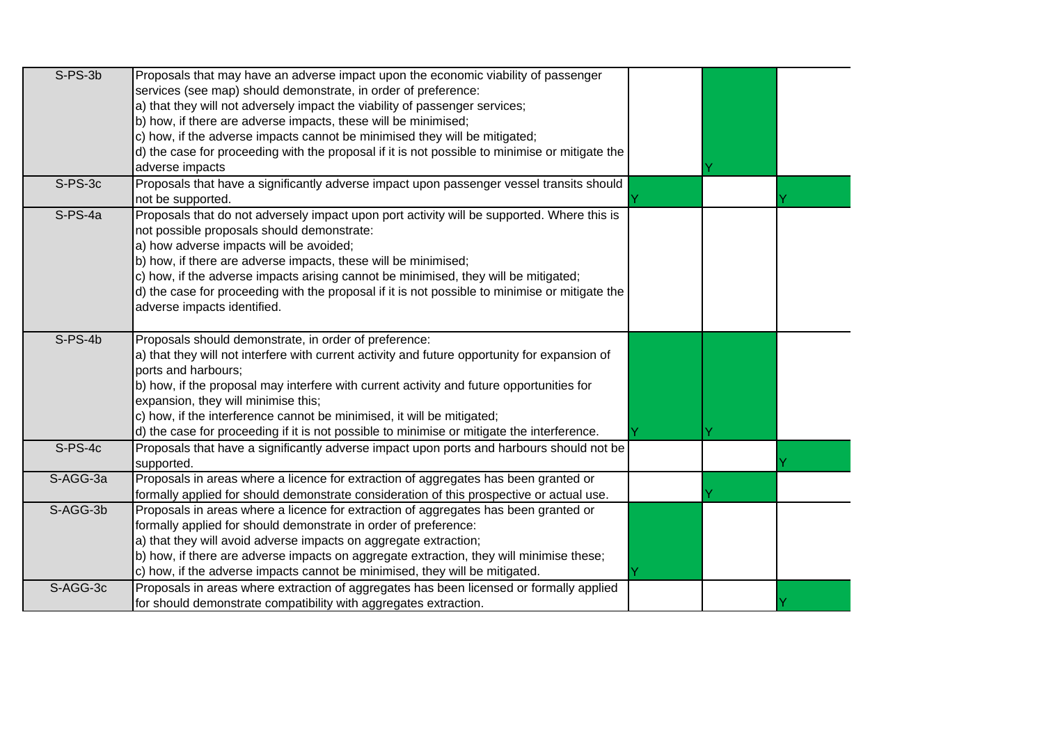| $S-PS-3b$ | Proposals that may have an adverse impact upon the economic viability of passenger             |  |  |
|-----------|------------------------------------------------------------------------------------------------|--|--|
|           | services (see map) should demonstrate, in order of preference:                                 |  |  |
|           | a) that they will not adversely impact the viability of passenger services;                    |  |  |
|           | b) how, if there are adverse impacts, these will be minimised;                                 |  |  |
|           | c) how, if the adverse impacts cannot be minimised they will be mitigated;                     |  |  |
|           | d) the case for proceeding with the proposal if it is not possible to minimise or mitigate the |  |  |
|           | adverse impacts                                                                                |  |  |
| S-PS-3c   | Proposals that have a significantly adverse impact upon passenger vessel transits should       |  |  |
|           | not be supported.                                                                              |  |  |
| $S-PS-4a$ | Proposals that do not adversely impact upon port activity will be supported. Where this is     |  |  |
|           | not possible proposals should demonstrate:                                                     |  |  |
|           | a) how adverse impacts will be avoided;                                                        |  |  |
|           | b) how, if there are adverse impacts, these will be minimised;                                 |  |  |
|           | c) how, if the adverse impacts arising cannot be minimised, they will be mitigated;            |  |  |
|           | d) the case for proceeding with the proposal if it is not possible to minimise or mitigate the |  |  |
|           | adverse impacts identified.                                                                    |  |  |
|           |                                                                                                |  |  |
| S-PS-4b   | Proposals should demonstrate, in order of preference:                                          |  |  |
|           | a) that they will not interfere with current activity and future opportunity for expansion of  |  |  |
|           | ports and harbours;                                                                            |  |  |
|           | b) how, if the proposal may interfere with current activity and future opportunities for       |  |  |
|           | expansion, they will minimise this;                                                            |  |  |
|           | c) how, if the interference cannot be minimised, it will be mitigated;                         |  |  |
|           | d) the case for proceeding if it is not possible to minimise or mitigate the interference.     |  |  |
| $S-PS-4c$ | Proposals that have a significantly adverse impact upon ports and harbours should not be       |  |  |
|           | supported.                                                                                     |  |  |
| S-AGG-3a  | Proposals in areas where a licence for extraction of aggregates has been granted or            |  |  |
|           | formally applied for should demonstrate consideration of this prospective or actual use.       |  |  |
| S-AGG-3b  | Proposals in areas where a licence for extraction of aggregates has been granted or            |  |  |
|           | formally applied for should demonstrate in order of preference:                                |  |  |
|           | a) that they will avoid adverse impacts on aggregate extraction;                               |  |  |
|           | b) how, if there are adverse impacts on aggregate extraction, they will minimise these;        |  |  |
|           | c) how, if the adverse impacts cannot be minimised, they will be mitigated.                    |  |  |
| S-AGG-3c  | Proposals in areas where extraction of aggregates has been licensed or formally applied        |  |  |
|           | for should demonstrate compatibility with aggregates extraction.                               |  |  |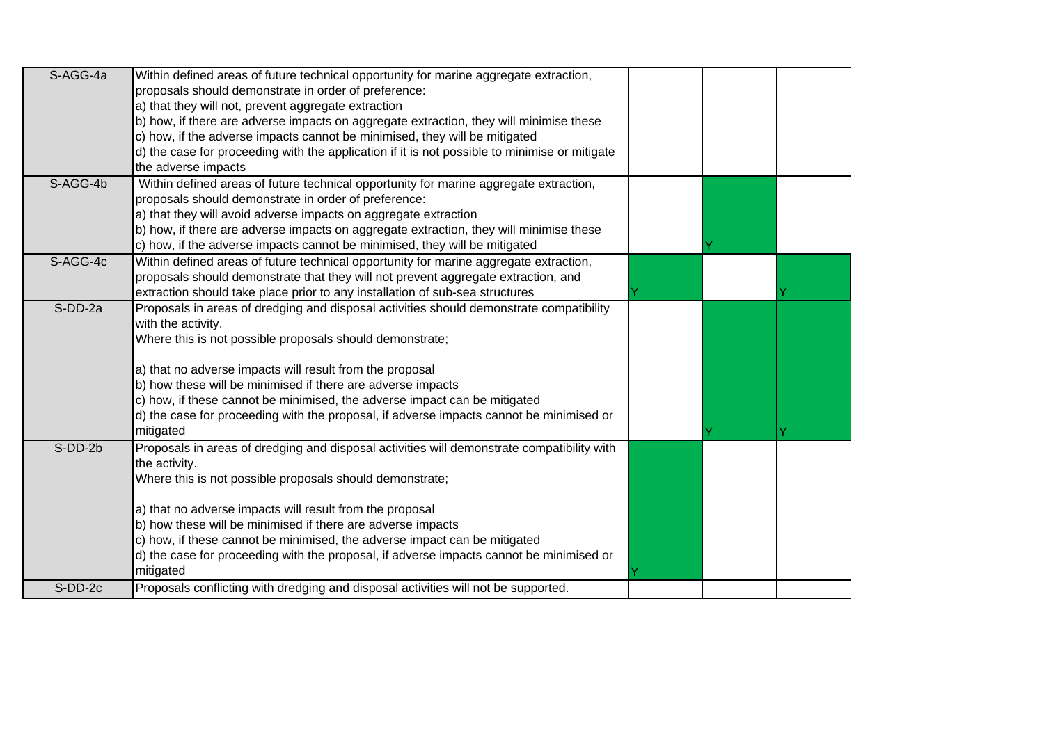| S-AGG-4a | Within defined areas of future technical opportunity for marine aggregate extraction,         |  |  |
|----------|-----------------------------------------------------------------------------------------------|--|--|
|          | proposals should demonstrate in order of preference:                                          |  |  |
|          | a) that they will not, prevent aggregate extraction                                           |  |  |
|          | b) how, if there are adverse impacts on aggregate extraction, they will minimise these        |  |  |
|          | c) how, if the adverse impacts cannot be minimised, they will be mitigated                    |  |  |
|          | d) the case for proceeding with the application if it is not possible to minimise or mitigate |  |  |
|          | the adverse impacts                                                                           |  |  |
| S-AGG-4b | Within defined areas of future technical opportunity for marine aggregate extraction,         |  |  |
|          | proposals should demonstrate in order of preference:                                          |  |  |
|          | a) that they will avoid adverse impacts on aggregate extraction                               |  |  |
|          | b) how, if there are adverse impacts on aggregate extraction, they will minimise these        |  |  |
|          | c) how, if the adverse impacts cannot be minimised, they will be mitigated                    |  |  |
| S-AGG-4c | Within defined areas of future technical opportunity for marine aggregate extraction,         |  |  |
|          | proposals should demonstrate that they will not prevent aggregate extraction, and             |  |  |
|          | extraction should take place prior to any installation of sub-sea structures                  |  |  |
| S-DD-2a  | Proposals in areas of dredging and disposal activities should demonstrate compatibility       |  |  |
|          | with the activity.                                                                            |  |  |
|          | Where this is not possible proposals should demonstrate;                                      |  |  |
|          |                                                                                               |  |  |
|          | a) that no adverse impacts will result from the proposal                                      |  |  |
|          | b) how these will be minimised if there are adverse impacts                                   |  |  |
|          | c) how, if these cannot be minimised, the adverse impact can be mitigated                     |  |  |
|          | d) the case for proceeding with the proposal, if adverse impacts cannot be minimised or       |  |  |
|          | mitigated                                                                                     |  |  |
| S-DD-2b  | Proposals in areas of dredging and disposal activities will demonstrate compatibility with    |  |  |
|          | the activity.                                                                                 |  |  |
|          | Where this is not possible proposals should demonstrate;                                      |  |  |
|          |                                                                                               |  |  |
|          | a) that no adverse impacts will result from the proposal                                      |  |  |
|          | b) how these will be minimised if there are adverse impacts                                   |  |  |
|          | c) how, if these cannot be minimised, the adverse impact can be mitigated                     |  |  |
|          | d) the case for proceeding with the proposal, if adverse impacts cannot be minimised or       |  |  |
|          | mitigated                                                                                     |  |  |
| S-DD-2c  | Proposals conflicting with dredging and disposal activities will not be supported.            |  |  |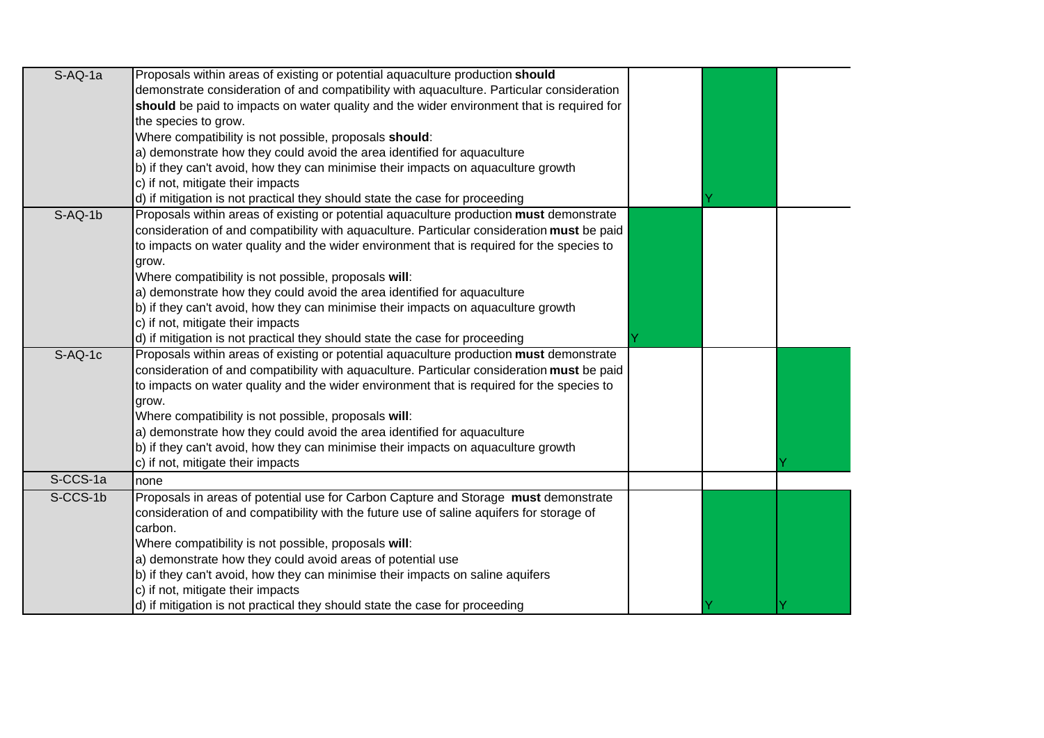| $S-AQ-1a$ | Proposals within areas of existing or potential aquaculture production should              |  |  |
|-----------|--------------------------------------------------------------------------------------------|--|--|
|           | demonstrate consideration of and compatibility with aquaculture. Particular consideration  |  |  |
|           | should be paid to impacts on water quality and the wider environment that is required for  |  |  |
|           | the species to grow.                                                                       |  |  |
|           | Where compatibility is not possible, proposals should:                                     |  |  |
|           | a) demonstrate how they could avoid the area identified for aquaculture                    |  |  |
|           | b) if they can't avoid, how they can minimise their impacts on aquaculture growth          |  |  |
|           | c) if not, mitigate their impacts                                                          |  |  |
|           | d) if mitigation is not practical they should state the case for proceeding                |  |  |
| $S-AQ-1b$ | Proposals within areas of existing or potential aquaculture production must demonstrate    |  |  |
|           | consideration of and compatibility with aquaculture. Particular consideration must be paid |  |  |
|           | to impacts on water quality and the wider environment that is required for the species to  |  |  |
|           | grow.                                                                                      |  |  |
|           | Where compatibility is not possible, proposals will:                                       |  |  |
|           | a) demonstrate how they could avoid the area identified for aquaculture                    |  |  |
|           | b) if they can't avoid, how they can minimise their impacts on aquaculture growth          |  |  |
|           | c) if not, mitigate their impacts                                                          |  |  |
|           | d) if mitigation is not practical they should state the case for proceeding                |  |  |
| $S-AQ-1c$ | Proposals within areas of existing or potential aquaculture production must demonstrate    |  |  |
|           | consideration of and compatibility with aquaculture. Particular consideration must be paid |  |  |
|           | to impacts on water quality and the wider environment that is required for the species to  |  |  |
|           | grow.                                                                                      |  |  |
|           | Where compatibility is not possible, proposals will:                                       |  |  |
|           | a) demonstrate how they could avoid the area identified for aquaculture                    |  |  |
|           | b) if they can't avoid, how they can minimise their impacts on aquaculture growth          |  |  |
|           | c) if not, mitigate their impacts                                                          |  |  |
| S-CCS-1a  | none                                                                                       |  |  |
| S-CCS-1b  | Proposals in areas of potential use for Carbon Capture and Storage must demonstrate        |  |  |
|           | consideration of and compatibility with the future use of saline aquifers for storage of   |  |  |
|           | carbon.                                                                                    |  |  |
|           | Where compatibility is not possible, proposals will:                                       |  |  |
|           | a) demonstrate how they could avoid areas of potential use                                 |  |  |
|           | b) if they can't avoid, how they can minimise their impacts on saline aquifers             |  |  |
|           | c) if not, mitigate their impacts                                                          |  |  |
|           | d) if mitigation is not practical they should state the case for proceeding                |  |  |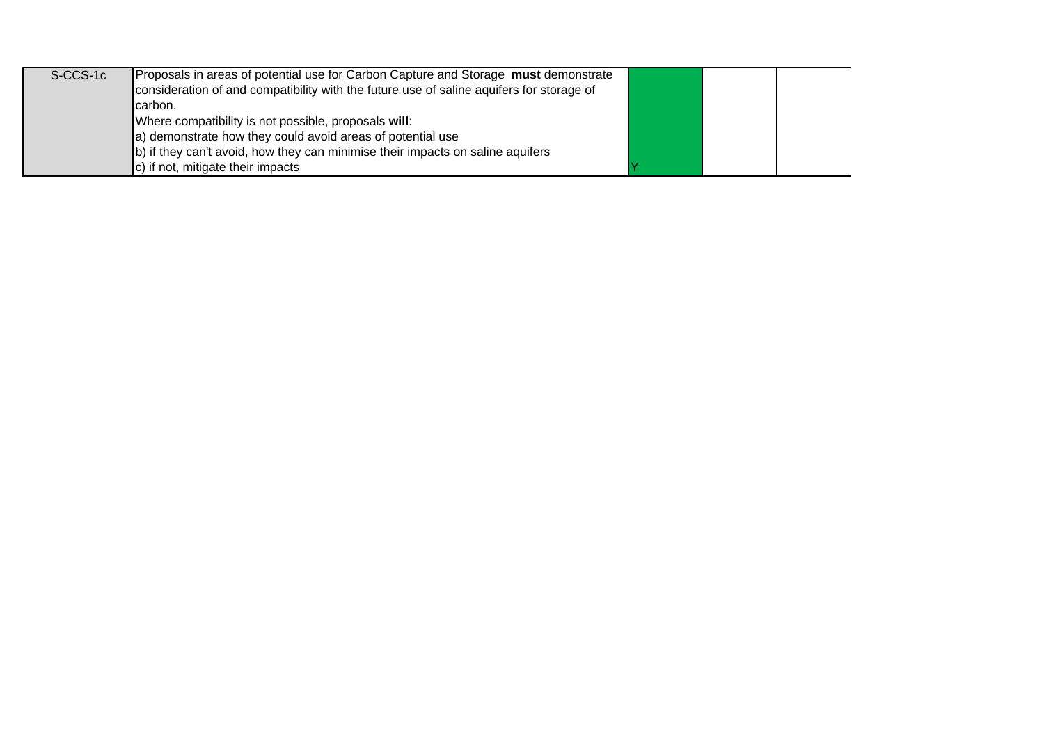| S-CCS-1c | Proposals in areas of potential use for Carbon Capture and Storage must demonstrate<br>consideration of and compatibility with the future use of saline aquifers for storage of |  |  |
|----------|---------------------------------------------------------------------------------------------------------------------------------------------------------------------------------|--|--|
|          | carbon.                                                                                                                                                                         |  |  |
|          | Where compatibility is not possible, proposals will:                                                                                                                            |  |  |
|          | a) demonstrate how they could avoid areas of potential use                                                                                                                      |  |  |
|          | b) if they can't avoid, how they can minimise their impacts on saline aquifers                                                                                                  |  |  |
|          | c) if not, mitigate their impacts                                                                                                                                               |  |  |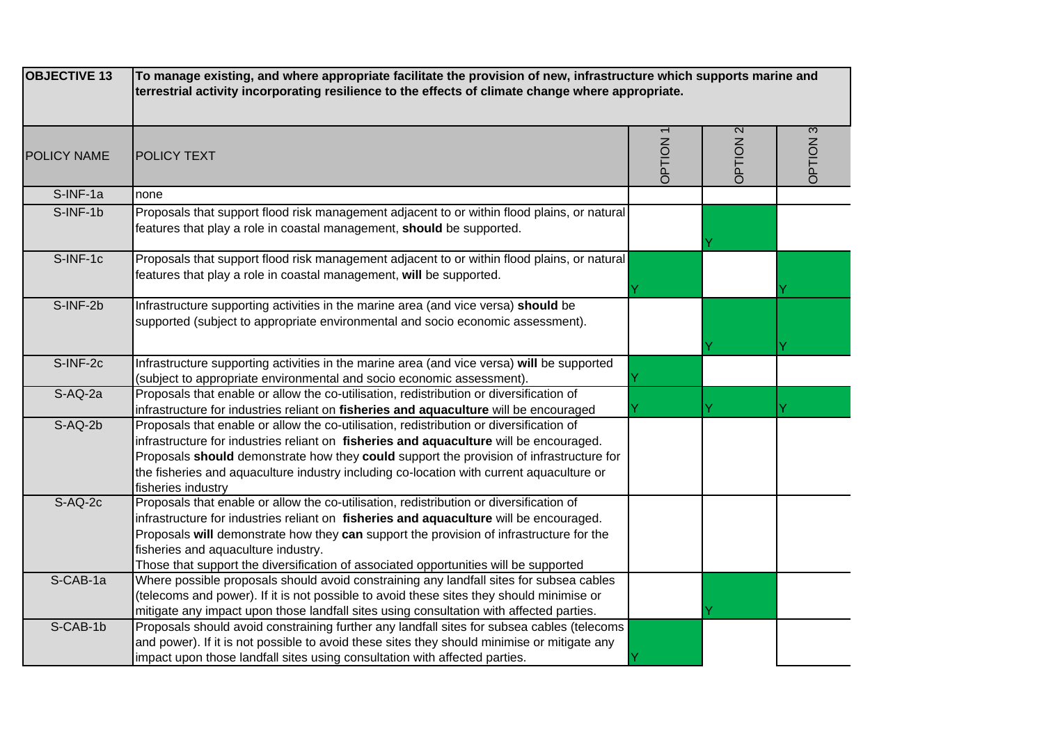| <b>OBJECTIVE 13</b> | To manage existing, and where appropriate facilitate the provision of new, infrastructure which supports marine and<br>terrestrial activity incorporating resilience to the effects of climate change where appropriate.                                                                                                                                                                                    |                |                     |                 |
|---------------------|-------------------------------------------------------------------------------------------------------------------------------------------------------------------------------------------------------------------------------------------------------------------------------------------------------------------------------------------------------------------------------------------------------------|----------------|---------------------|-----------------|
| <b>POLICY NAME</b>  | <b>POLICY TEXT</b>                                                                                                                                                                                                                                                                                                                                                                                          | <b>OPTION1</b> | OPTION <sub>2</sub> | <b>OPTION 3</b> |
| S-INF-1a            | none                                                                                                                                                                                                                                                                                                                                                                                                        |                |                     |                 |
| S-INF-1b            | Proposals that support flood risk management adjacent to or within flood plains, or natural<br>features that play a role in coastal management, should be supported.                                                                                                                                                                                                                                        |                |                     |                 |
| S-INF-1c            | Proposals that support flood risk management adjacent to or within flood plains, or natural<br>features that play a role in coastal management, will be supported.                                                                                                                                                                                                                                          |                |                     |                 |
| S-INF-2b            | Infrastructure supporting activities in the marine area (and vice versa) should be<br>supported (subject to appropriate environmental and socio economic assessment).                                                                                                                                                                                                                                       |                |                     |                 |
| S-INF-2c            | Infrastructure supporting activities in the marine area (and vice versa) will be supported<br>(subject to appropriate environmental and socio economic assessment).                                                                                                                                                                                                                                         |                |                     |                 |
| S-AQ-2a             | Proposals that enable or allow the co-utilisation, redistribution or diversification of<br>infrastructure for industries reliant on fisheries and aquaculture will be encouraged                                                                                                                                                                                                                            |                |                     |                 |
| $S-AQ-2b$           | Proposals that enable or allow the co-utilisation, redistribution or diversification of<br>infrastructure for industries reliant on fisheries and aquaculture will be encouraged.<br>Proposals should demonstrate how they could support the provision of infrastructure for<br>the fisheries and aquaculture industry including co-location with current aquaculture or<br>fisheries industry              |                |                     |                 |
| $S-AQ-2c$           | Proposals that enable or allow the co-utilisation, redistribution or diversification of<br>infrastructure for industries reliant on fisheries and aquaculture will be encouraged.<br>Proposals will demonstrate how they can support the provision of infrastructure for the<br>fisheries and aquaculture industry.<br>Those that support the diversification of associated opportunities will be supported |                |                     |                 |
| S-CAB-1a            | Where possible proposals should avoid constraining any landfall sites for subsea cables<br>(telecoms and power). If it is not possible to avoid these sites they should minimise or<br>mitigate any impact upon those landfall sites using consultation with affected parties.                                                                                                                              |                |                     |                 |
| S-CAB-1b            | Proposals should avoid constraining further any landfall sites for subsea cables (telecoms<br>and power). If it is not possible to avoid these sites they should minimise or mitigate any<br>impact upon those landfall sites using consultation with affected parties.                                                                                                                                     |                |                     |                 |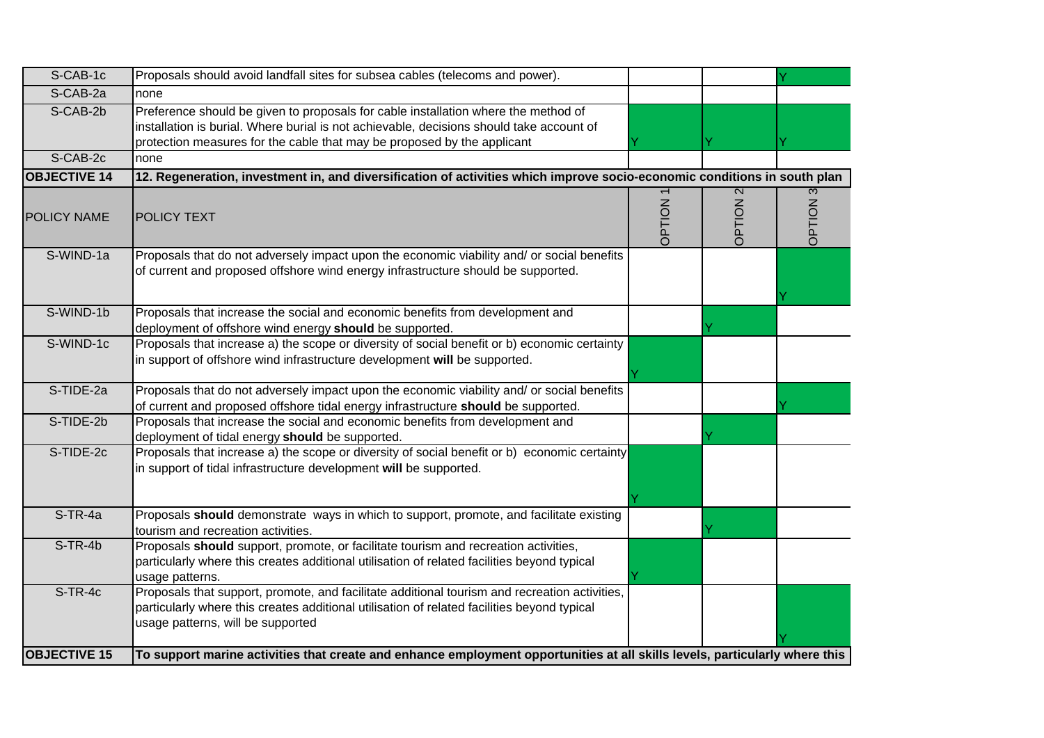| S-CAB-1c            | Proposals should avoid landfall sites for subsea cables (telecoms and power).                                                                                                                                                                             |                |                 |             |
|---------------------|-----------------------------------------------------------------------------------------------------------------------------------------------------------------------------------------------------------------------------------------------------------|----------------|-----------------|-------------|
| S-CAB-2a            | none                                                                                                                                                                                                                                                      |                |                 |             |
| S-CAB-2b            | Preference should be given to proposals for cable installation where the method of<br>installation is burial. Where burial is not achievable, decisions should take account of<br>protection measures for the cable that may be proposed by the applicant |                |                 |             |
| S-CAB-2c            | none                                                                                                                                                                                                                                                      |                |                 |             |
| <b>OBJECTIVE 14</b> | 12. Regeneration, investment in, and diversification of activities which improve socio-economic conditions in south plan                                                                                                                                  |                |                 |             |
| <b>POLICY NAME</b>  | <b>POLICY TEXT</b>                                                                                                                                                                                                                                        | <b>DPTION1</b> | <b>OPTION 2</b> | 3<br>NOILEC |
| S-WIND-1a           | Proposals that do not adversely impact upon the economic viability and/ or social benefits<br>of current and proposed offshore wind energy infrastructure should be supported.                                                                            |                |                 |             |
| S-WIND-1b           | Proposals that increase the social and economic benefits from development and<br>deployment of offshore wind energy should be supported.                                                                                                                  |                |                 |             |
| S-WIND-1c           | Proposals that increase a) the scope or diversity of social benefit or b) economic certainty<br>in support of offshore wind infrastructure development will be supported.                                                                                 |                |                 |             |
| S-TIDE-2a           | Proposals that do not adversely impact upon the economic viability and/ or social benefits<br>of current and proposed offshore tidal energy infrastructure should be supported.                                                                           |                |                 |             |
| S-TIDE-2b           | Proposals that increase the social and economic benefits from development and<br>deployment of tidal energy should be supported.                                                                                                                          |                |                 |             |
| S-TIDE-2c           | Proposals that increase a) the scope or diversity of social benefit or b) economic certainty<br>in support of tidal infrastructure development will be supported.                                                                                         |                |                 |             |
| S-TR-4a             | Proposals should demonstrate ways in which to support, promote, and facilitate existing<br>tourism and recreation activities.                                                                                                                             |                |                 |             |
| S-TR-4b             | Proposals should support, promote, or facilitate tourism and recreation activities,<br>particularly where this creates additional utilisation of related facilities beyond typical<br>usage patterns.                                                     |                |                 |             |
| $S-TR-4c$           | Proposals that support, promote, and facilitate additional tourism and recreation activities,<br>particularly where this creates additional utilisation of related facilities beyond typical<br>usage patterns, will be supported                         |                |                 |             |
| <b>OBJECTIVE 15</b> | To support marine activities that create and enhance employment opportunities at all skills levels, particularly where this                                                                                                                               |                |                 |             |